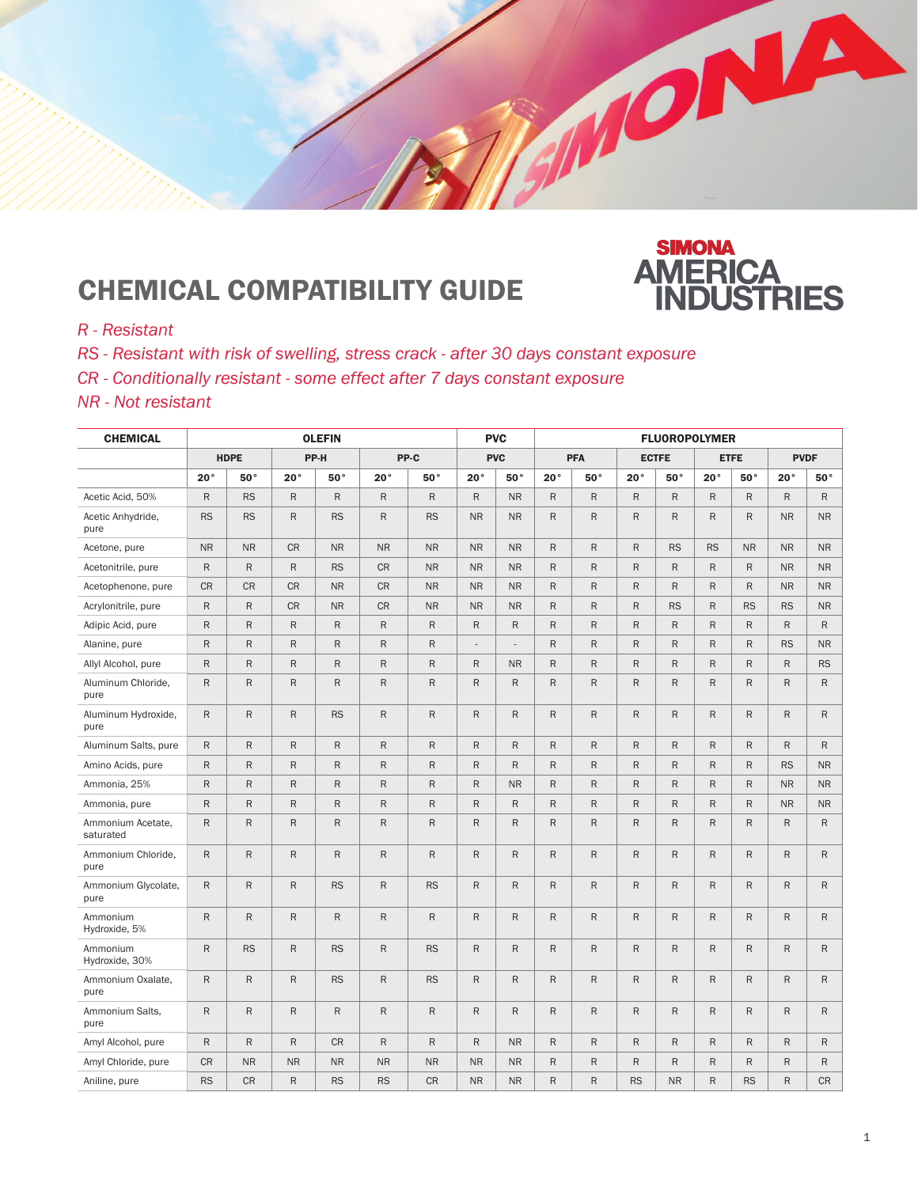

## CHEMICAL COMPATIBILITY GUIDE



## *R - Resistant*

- *RS Resistant with risk of swelling, stress crack after 30 days constant exposure*
- *CR Conditionally resistant some effect after 7 days constant exposure*
- *NR Not resistant*

| <b>CHEMICAL</b>                | <b>OLEFIN</b> |              |              |              |              |              |                | <b>PVC</b><br><b>FLUOROPOLYMER</b> |              |              |              |              |              |              |              |              |  |  |
|--------------------------------|---------------|--------------|--------------|--------------|--------------|--------------|----------------|------------------------------------|--------------|--------------|--------------|--------------|--------------|--------------|--------------|--------------|--|--|
|                                |               | <b>HDPE</b>  |              | PP-H         |              | PP-C         |                | <b>PVC</b>                         |              | <b>PFA</b>   |              | <b>ECTFE</b> |              | <b>ETFE</b>  | <b>PVDF</b>  |              |  |  |
|                                | $20^{\circ}$  | 50°          | 20°          | $50^{\circ}$ | 20°          | $50^{\circ}$ | $20^{\circ}$   | 50°                                | $20^{\circ}$ | 50°          | $20^{\circ}$ | $50^{\circ}$ | $20^{\circ}$ | $50^{\circ}$ | 20°          | $50^{\circ}$ |  |  |
| Acetic Acid, 50%               | ${\sf R}$     | <b>RS</b>    | $\mathsf{R}$ | $\mathsf R$  | $\mathsf{R}$ | ${\sf R}$    | $\mathsf{R}$   | <b>NR</b>                          | $\mathsf{R}$ | $\mathsf{R}$ | $\mathsf{R}$ | $\mathsf{R}$ | ${\sf R}$    | $\mathsf{R}$ | ${\sf R}$    | $\mathsf{R}$ |  |  |
| Acetic Anhydride,<br>pure      | <b>RS</b>     | <b>RS</b>    | $\mathsf{R}$ | <b>RS</b>    | $\mathsf{R}$ | <b>RS</b>    | <b>NR</b>      | <b>NR</b>                          | $\mathsf{R}$ | $\mathsf{R}$ | $\mathsf{R}$ | $\mathsf{R}$ | $\mathsf{R}$ | $\mathsf{R}$ | <b>NR</b>    | <b>NR</b>    |  |  |
| Acetone, pure                  | <b>NR</b>     | <b>NR</b>    | <b>CR</b>    | <b>NR</b>    | <b>NR</b>    | <b>NR</b>    | <b>NR</b>      | <b>NR</b>                          | $\mathsf{R}$ | $\mathsf{R}$ | $\mathsf{R}$ | <b>RS</b>    | <b>RS</b>    | <b>NR</b>    | <b>NR</b>    | <b>NR</b>    |  |  |
| Acetonitrile, pure             | $\mathsf{R}$  | $\mathsf{R}$ | $\mathsf{R}$ | <b>RS</b>    | <b>CR</b>    | <b>NR</b>    | <b>NR</b>      | <b>NR</b>                          | $\mathsf{R}$ | R            | $\mathsf{R}$ | $\mathsf{R}$ | $\mathsf{R}$ | $\mathsf{R}$ | <b>NR</b>    | <b>NR</b>    |  |  |
| Acetophenone, pure             | <b>CR</b>     | <b>CR</b>    | <b>CR</b>    | <b>NR</b>    | <b>CR</b>    | <b>NR</b>    | <b>NR</b>      | <b>NR</b>                          | $\mathsf{R}$ | $\mathsf{R}$ | $\mathsf{R}$ | ${\sf R}$    | $\mathsf{R}$ | $\mathsf{R}$ | <b>NR</b>    | <b>NR</b>    |  |  |
| Acrylonitrile, pure            | $\mathsf{R}$  | $\mathsf{R}$ | <b>CR</b>    | <b>NR</b>    | <b>CR</b>    | <b>NR</b>    | <b>NR</b>      | <b>NR</b>                          | $\mathsf{R}$ | ${\sf R}$    | $\mathsf{R}$ | <b>RS</b>    | $\mathsf{R}$ | <b>RS</b>    | <b>RS</b>    | <b>NR</b>    |  |  |
| Adipic Acid, pure              | $\mathsf{R}$  | $\mathsf{R}$ | $\mathsf{R}$ | $\mathsf{R}$ | $\mathsf{R}$ | $\mathsf{R}$ | $\mathsf{R}$   | $\mathsf{R}$                       | $\mathsf{R}$ | $\mathsf{R}$ | $\mathsf{R}$ | $\mathsf{R}$ | $\mathsf{R}$ | $\mathsf{R}$ | ${\sf R}$    | $\mathsf{R}$ |  |  |
| Alanine, pure                  | $\mathsf{R}$  | $\mathsf{R}$ | $\mathsf{R}$ | $\mathsf{R}$ | $\mathsf{R}$ | $\mathsf{R}$ | $\overline{a}$ | $\overline{a}$                     | $\mathsf{R}$ | R            | $\mathsf{R}$ | $\mathsf{R}$ | $\mathsf{R}$ | $\mathsf{R}$ | <b>RS</b>    | <b>NR</b>    |  |  |
| Allyl Alcohol, pure            | $\mathsf{R}$  | $\mathsf{R}$ | ${\sf R}$    | $\mathsf{R}$ | $\mathsf{R}$ | $\mathsf{R}$ | R              | <b>NR</b>                          | $\mathsf{R}$ | $\mathsf{R}$ | $\mathsf{R}$ | ${\sf R}$    | $\mathsf{R}$ | $\mathsf{R}$ | ${\sf R}$    | <b>RS</b>    |  |  |
| Aluminum Chloride,<br>pure     | $\mathsf{R}$  | $\mathsf{R}$ | $\mathsf{R}$ | $\mathsf{R}$ | $\mathsf{R}$ | $\mathsf{R}$ | R.             | $\mathsf{R}$                       | $\mathsf{R}$ | R            | $\mathsf{R}$ | $\mathsf{R}$ | $\mathsf{R}$ | $\mathsf{R}$ | $\mathsf{R}$ | R.           |  |  |
| Aluminum Hydroxide,<br>pure    | $\mathsf{R}$  | $\mathsf{R}$ | $\mathsf{R}$ | <b>RS</b>    | $\mathsf R$  | $\mathsf{R}$ | R.             | ${\sf R}$                          | $\mathsf{R}$ | $\mathsf{R}$ | $\mathsf{R}$ | $\mathsf{R}$ | $\mathsf{R}$ | $\mathsf{R}$ | ${\sf R}$    | $\mathsf{R}$ |  |  |
| Aluminum Salts, pure           | $\sf R$       | ${\sf R}$    | $\mathsf{R}$ | $\mathsf{R}$ | $\mathsf{R}$ | $\mathsf{R}$ | R.             | ${\sf R}$                          | $\mathsf{R}$ | $\mathsf{R}$ | $\mathsf{R}$ | ${\sf R}$    | $\mathsf{R}$ | $\mathsf{R}$ | $\mathsf{R}$ | $\mathsf{R}$ |  |  |
| Amino Acids, pure              | $\mathsf{R}$  | $\mathsf{R}$ | $\mathsf{R}$ | $\mathsf{R}$ | $\mathsf{R}$ | $\mathsf{R}$ | R              | ${\sf R}$                          | $\mathsf{R}$ | $\mathsf{R}$ | $\mathsf{R}$ | $\mathsf{R}$ | $\mathsf{R}$ | $\mathsf{R}$ | <b>RS</b>    | <b>NR</b>    |  |  |
| Ammonia, 25%                   | R             | R            | $\mathsf{R}$ | $\mathsf{R}$ | $\mathsf{R}$ | $\mathsf{R}$ | R              | <b>NR</b>                          | $\mathsf{R}$ | $\mathsf{R}$ | $\mathsf{R}$ | $\mathsf{R}$ | R            | $\mathsf{R}$ | <b>NR</b>    | <b>NR</b>    |  |  |
| Ammonia, pure                  | $\mathsf{R}$  | ${\sf R}$    | $\mathsf{R}$ | $\mathsf{R}$ | $\mathsf R$  | $\mathsf{R}$ | R.             | $\mathsf{R}$                       | R            | $\mathsf{R}$ | $\mathsf{R}$ | ${\sf R}$    | R            | $\mathsf{R}$ | <b>NR</b>    | <b>NR</b>    |  |  |
| Ammonium Acetate,<br>saturated | $\mathsf{R}$  | $\mathsf R$  | $\mathsf{R}$ | $\mathsf{R}$ | $\mathsf{R}$ | $\mathsf{R}$ | R              | $\mathsf{R}$                       | $\mathsf{R}$ | R            | $\mathsf{R}$ | $\mathsf{R}$ | $\mathsf{R}$ | $\mathsf{R}$ | $\mathsf{R}$ | R            |  |  |
| Ammonium Chloride,<br>pure     | $\mathsf{R}$  | $\mathsf{R}$ | $\mathsf{R}$ | $\mathsf{R}$ | $\mathsf{R}$ | $\mathsf{R}$ | R.             | $\mathsf{R}$                       | $\mathsf{R}$ | $\mathsf{R}$ | $\mathsf{R}$ | $\mathsf{R}$ | $\mathsf{R}$ | $\mathsf{R}$ | $\mathsf{R}$ | $\mathsf R$  |  |  |
| Ammonium Glycolate,<br>pure    | $\mathsf{R}$  | $\mathsf{R}$ | $\mathsf{R}$ | <b>RS</b>    | $\mathsf{R}$ | <b>RS</b>    | R              | $\mathsf{R}$                       | $\mathsf{R}$ | $\mathsf{R}$ | $\mathsf{R}$ | $\mathsf{R}$ | $\mathsf{R}$ | $\mathsf{R}$ | $\mathsf{R}$ | $\mathsf{R}$ |  |  |
| Ammonium<br>Hydroxide, 5%      | $\sf R$       | $\mathsf{R}$ | $\mathsf{R}$ | $\mathsf R$  | $\mathsf{R}$ | $\mathsf{R}$ | R.             | $\mathsf{R}$                       | $\mathsf{R}$ | $\mathsf{R}$ | $\mathsf{R}$ | $\mathsf{R}$ | $\mathsf{R}$ | $\mathsf{R}$ | ${\sf R}$    | $\mathsf R$  |  |  |
| Ammonium<br>Hydroxide, 30%     | $\sf R$       | <b>RS</b>    | $\mathsf{R}$ | <b>RS</b>    | $\mathsf{R}$ | <b>RS</b>    | R.             | ${\sf R}$                          | $\mathsf{R}$ | $\mathsf{R}$ | $\mathsf{R}$ | $\sf R$      | $\mathsf{R}$ | $\mathsf{R}$ | ${\sf R}$    | $\mathsf{R}$ |  |  |
| Ammonium Oxalate,<br>pure      | $\mathsf{R}$  | ${\sf R}$    | $\mathsf{R}$ | <b>RS</b>    | $\mathsf{R}$ | <b>RS</b>    | R              | $\mathsf R$                        | R            | $\mathsf{R}$ | $\mathsf{R}$ | $\mathsf{R}$ | $\mathsf{R}$ | $\mathsf{R}$ | ${\sf R}$    | $\mathsf{R}$ |  |  |
| Ammonium Salts,<br>pure        | $\mathsf{R}$  | $\mathsf{R}$ | $\mathsf{R}$ | ${\sf R}$    | $\mathsf{R}$ | $\mathsf{R}$ | R.             | ${\sf R}$                          | $\mathsf{R}$ | $\mathsf{R}$ | $\mathsf{R}$ | $\mathsf{R}$ | R            | $\mathsf{R}$ | ${\sf R}$    | R            |  |  |
| Amyl Alcohol, pure             | R             | R            | R            | <b>CR</b>    | $\mathsf{R}$ | $\mathsf{R}$ | R              | <b>NR</b>                          | $\mathsf{R}$ | $\mathsf{R}$ | $\mathsf{R}$ | $\mathsf{R}$ | R            | R            | $\mathsf{R}$ | R            |  |  |
| Amyl Chloride, pure            | <b>CR</b>     | <b>NR</b>    | <b>NR</b>    | <b>NR</b>    | <b>NR</b>    | <b>NR</b>    | <b>NR</b>      | <b>NR</b>                          | $\mathsf{R}$ | $\mathsf{R}$ | $\mathsf{R}$ | ${\sf R}$    | $\mathsf{R}$ | $\mathsf{R}$ | ${\sf R}$    | R            |  |  |
| Aniline, pure                  | <b>RS</b>     | <b>CR</b>    | $\mathsf{R}$ | <b>RS</b>    | <b>RS</b>    | <b>CR</b>    | <b>NR</b>      | <b>NR</b>                          | R            | R            | <b>RS</b>    | <b>NR</b>    | $\mathsf{R}$ | <b>RS</b>    | ${\sf R}$    | CR           |  |  |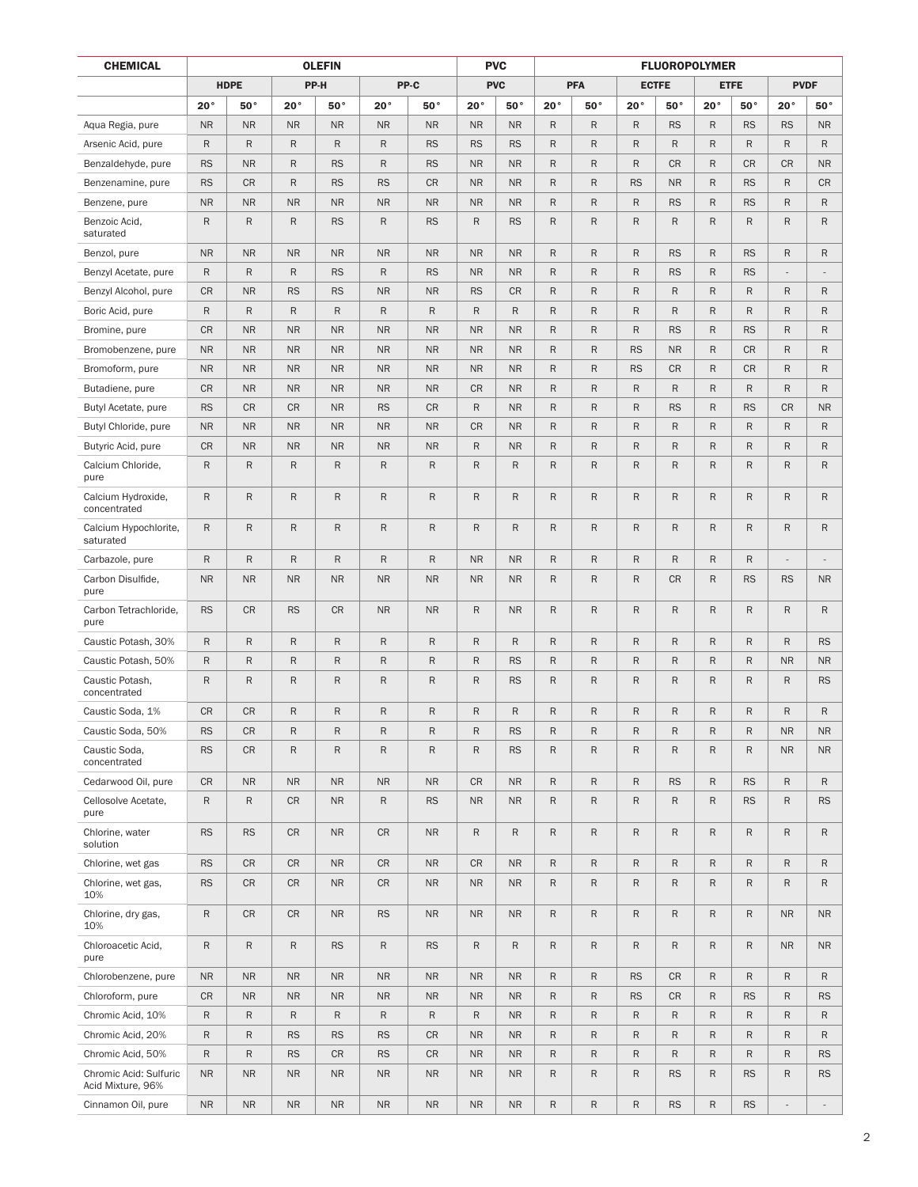| <b>CHEMICAL</b>                             | <b>OLEFIN</b> |              |              |              |              |              |              | <b>PVC</b>   | <b>FLUOROPOLYMER</b> |              |              |              |              |              |                          |                          |  |
|---------------------------------------------|---------------|--------------|--------------|--------------|--------------|--------------|--------------|--------------|----------------------|--------------|--------------|--------------|--------------|--------------|--------------------------|--------------------------|--|
|                                             |               | <b>HDPE</b>  |              | PP-H         |              | PP-C         | <b>PVC</b>   |              |                      | <b>PFA</b>   |              | <b>ECTFE</b> |              | <b>ETFE</b>  | <b>PVDF</b>              |                          |  |
|                                             | $20^{\circ}$  | $50^{\circ}$ | $20^{\circ}$ | 50°          | 20°          | 50°          | $20^{\circ}$ | $50^{\circ}$ | $20^{\circ}$         | $50^{\circ}$ | $20^{\circ}$ | 50°          | $20^{\circ}$ | 50°          | $20^{\circ}$             | $50^{\circ}$             |  |
| Aqua Regia, pure                            | <b>NR</b>     | <b>NR</b>    | <b>NR</b>    | <b>NR</b>    | <b>NR</b>    | <b>NR</b>    | <b>NR</b>    | <b>NR</b>    | $\mathsf R$          | R            | $\mathsf R$  | <b>RS</b>    | R            | <b>RS</b>    | <b>RS</b>                | <b>NR</b>                |  |
| Arsenic Acid, pure                          | R             | R            | R            | $\mathsf{R}$ | R            | <b>RS</b>    | <b>RS</b>    | <b>RS</b>    | R                    | R            | R            | R            | R            | R            | $\mathsf{R}$             | R                        |  |
| Benzaldehyde, pure                          | <b>RS</b>     | <b>NR</b>    | R            | <b>RS</b>    | R            | <b>RS</b>    | <b>NR</b>    | <b>NR</b>    | $\mathsf R$          | $\mathsf R$  | R            | <b>CR</b>    | R            | <b>CR</b>    | <b>CR</b>                | <b>NR</b>                |  |
| Benzenamine, pure                           | <b>RS</b>     | <b>CR</b>    | $\mathsf{R}$ | <b>RS</b>    | <b>RS</b>    | CR           | <b>NR</b>    | <b>NR</b>    | R                    | R            | <b>RS</b>    | <b>NR</b>    | R            | <b>RS</b>    | R                        | <b>CR</b>                |  |
| Benzene, pure                               | <b>NR</b>     | <b>NR</b>    | <b>NR</b>    | <b>NR</b>    | <b>NR</b>    | <b>NR</b>    | <b>NR</b>    | <b>NR</b>    | $\mathsf{R}$         | $\mathsf{R}$ | $\mathsf{R}$ | <b>RS</b>    | R            | <b>RS</b>    | R                        | R                        |  |
| Benzoic Acid,<br>saturated                  | $\mathsf{R}$  | $\mathsf{R}$ | R            | <b>RS</b>    | R            | <b>RS</b>    | R            | <b>RS</b>    | $\mathsf R$          | $\mathsf{R}$ | $\mathsf R$  | $\mathsf{R}$ | R            | R            | R                        | R                        |  |
| Benzol, pure                                | <b>NR</b>     | <b>NR</b>    | <b>NR</b>    | <b>NR</b>    | <b>NR</b>    | <b>NR</b>    | <b>NR</b>    | <b>NR</b>    | $\mathsf{R}$         | $\mathsf{R}$ | $\mathsf R$  | <b>RS</b>    | R            | <b>RS</b>    | R                        | R                        |  |
| Benzyl Acetate, pure                        | R             | $\mathsf{R}$ | R            | <b>RS</b>    | R            | <b>RS</b>    | <b>NR</b>    | <b>NR</b>    | R                    | $\mathsf{R}$ | R            | <b>RS</b>    | R            | <b>RS</b>    | $\overline{a}$           | $\overline{\phantom{a}}$ |  |
| Benzyl Alcohol, pure                        | <b>CR</b>     | <b>NR</b>    | <b>RS</b>    | <b>RS</b>    | <b>NR</b>    | <b>NR</b>    | <b>RS</b>    | <b>CR</b>    | $\mathsf{R}$         | $\mathsf{R}$ | $\mathsf R$  | $\mathsf{R}$ | R            | $\mathsf{R}$ | R                        | $\mathsf{R}$             |  |
| Boric Acid, pure                            | $\mathsf R$   | $\mathsf{R}$ | $\mathsf{R}$ | $\mathsf{R}$ | $\mathsf{R}$ | $\mathsf{R}$ | R            | $\mathsf{R}$ | $\mathsf{R}$         | $\mathsf{R}$ | R            | R            | R            | R            | R                        | $\mathsf{R}$             |  |
| Bromine, pure                               | <b>CR</b>     | <b>NR</b>    | <b>NR</b>    | <b>NR</b>    | <b>NR</b>    | <b>NR</b>    | <b>NR</b>    | <b>NR</b>    | $\mathsf R$          | ${\sf R}$    | R            | <b>RS</b>    | R            | <b>RS</b>    | R                        | $\mathsf{R}$             |  |
| Bromobenzene, pure                          | <b>NR</b>     | <b>NR</b>    | <b>NR</b>    | <b>NR</b>    | <b>NR</b>    | <b>NR</b>    | <b>NR</b>    | <b>NR</b>    | $\mathsf R$          | $\mathsf{R}$ | <b>RS</b>    | <b>NR</b>    | R            | <b>CR</b>    | R                        | R                        |  |
| Bromoform, pure                             | <b>NR</b>     | <b>NR</b>    | <b>NR</b>    | <b>NR</b>    | <b>NR</b>    | <b>NR</b>    | <b>NR</b>    | <b>NR</b>    | R                    | $\mathsf{R}$ | <b>RS</b>    | <b>CR</b>    | R            | <b>CR</b>    | R                        | R                        |  |
| Butadiene, pure                             | <b>CR</b>     | <b>NR</b>    | <b>NR</b>    | <b>NR</b>    | <b>NR</b>    | <b>NR</b>    | <b>CR</b>    | <b>NR</b>    | $\mathsf R$          | $\mathsf{R}$ | R            | $\mathsf{R}$ | R            | $\mathsf R$  | R                        | R                        |  |
| Butyl Acetate, pure                         | <b>RS</b>     | CR           | <b>CR</b>    | <b>NR</b>    | <b>RS</b>    | <b>CR</b>    | R            | <b>NR</b>    | R                    | R            | R            | <b>RS</b>    | R            | <b>RS</b>    | <b>CR</b>                | NR                       |  |
| Butyl Chloride, pure                        | <b>NR</b>     | <b>NR</b>    | <b>NR</b>    | <b>NR</b>    | <b>NR</b>    | <b>NR</b>    | <b>CR</b>    | <b>NR</b>    | $\mathsf{R}$         | $\mathsf{R}$ | R            | $\mathsf{R}$ | R            | $\mathsf R$  | R                        | R                        |  |
| Butyric Acid, pure                          | CR            | <b>NR</b>    | <b>NR</b>    | <b>NR</b>    | <b>NR</b>    | <b>NR</b>    | R            | <b>NR</b>    | $\mathsf{R}$         | $\mathsf{R}$ | R            | $\mathsf{R}$ | R            | $\mathsf R$  | R                        | R                        |  |
| Calcium Chloride,<br>pure                   | R             | $\mathsf{R}$ | R            | $\mathsf{R}$ | R            | $\mathsf R$  | R            | $\mathsf{R}$ | $\mathsf R$          | $\mathsf{R}$ | R            | R            | R            | $\mathsf{R}$ | R                        | R                        |  |
| Calcium Hydroxide,<br>concentrated          | $\mathsf{R}$  | $\mathsf{R}$ | R            | $\mathsf{R}$ | R            | $\mathsf{R}$ | R            | $\mathsf{R}$ | $\mathsf{R}$         | $\mathsf{R}$ | R            | $\mathsf{R}$ | R            | $\mathsf{R}$ | R                        | R                        |  |
| Calcium Hypochlorite,<br>saturated          | $\mathsf R$   | $\mathsf{R}$ | R            | $\mathsf{R}$ | R            | ${\sf R}$    | R            | $\mathsf R$  | $\mathsf{R}$         | ${\sf R}$    | R            | R            | R            | R            | R                        | R                        |  |
| Carbazole, pure                             | $\mathsf{R}$  | $\mathsf{R}$ | R            | ${\sf R}$    | R            | $\mathsf R$  | <b>NR</b>    | <b>NR</b>    | $\mathsf R$          | $\mathsf{R}$ | R            | $\mathsf{R}$ | R            | R            | $\overline{\phantom{a}}$ | $\overline{\phantom{a}}$ |  |
| Carbon Disulfide,<br>pure                   | <b>NR</b>     | <b>NR</b>    | <b>NR</b>    | <b>NR</b>    | <b>NR</b>    | <b>NR</b>    | <b>NR</b>    | <b>NR</b>    | $\mathsf{R}$         | R            | R            | <b>CR</b>    | R            | <b>RS</b>    | <b>RS</b>                | <b>NR</b>                |  |
| Carbon Tetrachloride,<br>pure               | <b>RS</b>     | <b>CR</b>    | <b>RS</b>    | <b>CR</b>    | <b>NR</b>    | <b>NR</b>    | R            | <b>NR</b>    | R                    | $\mathsf{R}$ | R            | $\mathsf{R}$ | R            | $\mathsf R$  | R                        | R                        |  |
| Caustic Potash, 30%                         | $\mathsf{R}$  | $\mathsf{R}$ | $\mathsf{R}$ | $\mathsf{R}$ | R            | $\mathsf{R}$ | R            | $\mathsf{R}$ | R                    | R            | R            | R            | R            | $\mathsf{R}$ | $\mathsf{R}$             | <b>RS</b>                |  |
| Caustic Potash, 50%                         | $\mathsf R$   | ${\sf R}$    | R            | $\mathsf{R}$ | R            | $\mathsf{R}$ | R            | <b>RS</b>    | R                    | R            | R            | R            | R            | R            | <b>NR</b>                | <b>NR</b>                |  |
| Caustic Potash,<br>concentrated             | $\mathsf{R}$  | $\mathsf R$  | R            | $\mathsf{R}$ | R            | $\mathsf{R}$ | R            | <b>RS</b>    | $\mathsf R$          | R            | R            | R            | R            | R            | R                        | <b>RS</b>                |  |
| Caustic Soda, 1%                            | <b>CR</b>     | <b>CR</b>    | R            | $\mathsf{R}$ | R            | $\mathsf R$  | R            | $\mathsf{R}$ | R                    | R            | R            | R            | R            | R            | R                        | R                        |  |
| Caustic Soda, 50%                           | <b>RS</b>     | <b>CR</b>    | R            | R            | R            | R            | R            | <b>RS</b>    | R                    | R            | R            | R            | R            | R            | <b>NR</b>                | NR                       |  |
| Caustic Soda,<br>concentrated               | <b>RS</b>     | <b>CR</b>    | $\mathsf{R}$ | $\mathsf{R}$ | R            | $\mathsf{R}$ | R            | <b>RS</b>    | R                    | R            | R            | R            | R            | $\mathsf{R}$ | <b>NR</b>                | <b>NR</b>                |  |
| Cedarwood Oil, pure                         | CR            | <b>NR</b>    | <b>NR</b>    | <b>NR</b>    | <b>NR</b>    | <b>NR</b>    | <b>CR</b>    | <b>NR</b>    | R                    | R            | $\mathsf{R}$ | <b>RS</b>    | R            | <b>RS</b>    | $\mathsf{R}$             | R                        |  |
| Cellosolve Acetate,<br>pure                 | R             | $\mathsf{R}$ | CR           | <b>NR</b>    | R            | <b>RS</b>    | <b>NR</b>    | <b>NR</b>    | R                    | R            | R            | R            | R            | <b>RS</b>    | R                        | <b>RS</b>                |  |
| Chlorine, water<br>solution                 | <b>RS</b>     | <b>RS</b>    | <b>CR</b>    | <b>NR</b>    | <b>CR</b>    | <b>NR</b>    | R            | $\mathsf R$  | R                    | R            | R            | R            | R            | ${\sf R}$    | $\mathsf{R}$             | R                        |  |
| Chlorine, wet gas                           | <b>RS</b>     | <b>CR</b>    | <b>CR</b>    | <b>NR</b>    | CR           | <b>NR</b>    | <b>CR</b>    | <b>NR</b>    | R                    | R            | R            | R            | R            | R            | R                        | R                        |  |
| Chlorine, wet gas,<br>10%                   | <b>RS</b>     | <b>CR</b>    | <b>CR</b>    | <b>NR</b>    | CR           | <b>NR</b>    | <b>NR</b>    | <b>NR</b>    | R                    | R            | R            | R            | R            | R            | R                        | R                        |  |
| Chlorine, dry gas,<br>10%                   | $\mathsf R$   | <b>CR</b>    | <b>CR</b>    | <b>NR</b>    | <b>RS</b>    | <b>NR</b>    | <b>NR</b>    | <b>NR</b>    | R                    | R            | R            | R            | R            | R            | <b>NR</b>                | NR                       |  |
| Chloroacetic Acid,<br>pure                  | $\mathsf{R}$  | $\mathsf{R}$ | $\mathsf{R}$ | <b>RS</b>    | R            | <b>RS</b>    | R            | $\mathsf{R}$ | R                    | R            | R            | R            | R            | $\mathsf{R}$ | <b>NR</b>                | <b>NR</b>                |  |
| Chlorobenzene, pure                         | <b>NR</b>     | <b>NR</b>    | <b>NR</b>    | <b>NR</b>    | <b>NR</b>    | <b>NR</b>    | <b>NR</b>    | <b>NR</b>    | R                    | R            | <b>RS</b>    | CR           | R            | $\mathsf{R}$ | $\mathsf{R}$             | R                        |  |
| Chloroform, pure                            | <b>CR</b>     | <b>NR</b>    | <b>NR</b>    | <b>NR</b>    | <b>NR</b>    | <b>NR</b>    | <b>NR</b>    | <b>NR</b>    | R                    | R            | <b>RS</b>    | CR           | R            | <b>RS</b>    | R                        | <b>RS</b>                |  |
| Chromic Acid, 10%                           | $\mathsf{R}$  | $\mathsf{R}$ | $\mathsf{R}$ | $\mathsf{R}$ | R            | $\mathsf R$  | R            | <b>NR</b>    | R                    | R            | R            | R            | R            | ${\sf R}$    | R                        | R                        |  |
| Chromic Acid, 20%                           | $\mathsf R$   | R            | <b>RS</b>    | <b>RS</b>    | <b>RS</b>    | CR           | <b>NR</b>    | <b>NR</b>    | R                    | R            | R            | R            | R            | R            | R                        | R                        |  |
| Chromic Acid, 50%                           | $\mathsf R$   | ${\sf R}$    | <b>RS</b>    | <b>CR</b>    | <b>RS</b>    | <b>CR</b>    | <b>NR</b>    | <b>NR</b>    | $\mathsf{R}$         | R            | R            | R            | R            | R            | R                        | <b>RS</b>                |  |
| Chromic Acid: Sulfuric<br>Acid Mixture, 96% | <b>NR</b>     | <b>NR</b>    | <b>NR</b>    | <b>NR</b>    | <b>NR</b>    | <b>NR</b>    | <b>NR</b>    | <b>NR</b>    | R                    | R            | R            | <b>RS</b>    | R            | <b>RS</b>    | R                        | <b>RS</b>                |  |
| Cinnamon Oil, pure                          | <b>NR</b>     | <b>NR</b>    | <b>NR</b>    | <b>NR</b>    | <b>NR</b>    | <b>NR</b>    | <b>NR</b>    | <b>NR</b>    | R                    | R            | R            | <b>RS</b>    | R            | <b>RS</b>    | $\overline{\phantom{a}}$ | $\sim$                   |  |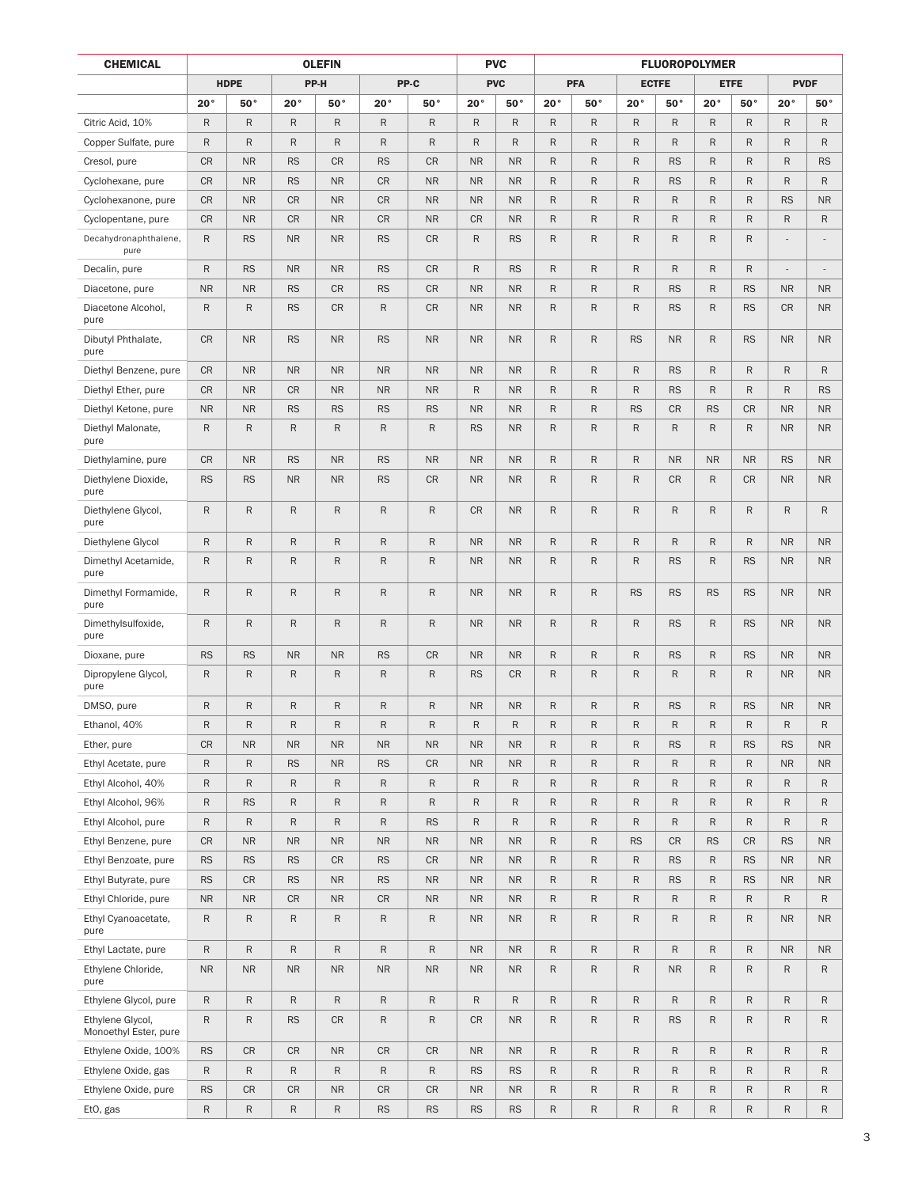| <b>CHEMICAL</b>                           | <b>OLEFIN</b> |              |              |              |              |              |              | <b>PVC</b>   |              | <b>FLUOROPOLYMER</b> |              |              |              |             |               |                          |  |
|-------------------------------------------|---------------|--------------|--------------|--------------|--------------|--------------|--------------|--------------|--------------|----------------------|--------------|--------------|--------------|-------------|---------------|--------------------------|--|
|                                           |               | <b>HDPE</b>  |              | PP-H         |              | PP-C         |              | <b>PVC</b>   |              | <b>PFA</b>           |              | <b>ECTFE</b> |              | <b>ETFE</b> |               | <b>PVDF</b>              |  |
|                                           | $20^{\circ}$  | 50°          | 20°          | 50°          | $20^{\circ}$ | $50^{\circ}$ | 20°          | $50^{\circ}$ | $20^{\circ}$ | $50^{\circ}$         | $20^{\circ}$ | 50°          | $20^{\circ}$ | 50°         | $20^{\circ}$  | $50^{\circ}$             |  |
| Citric Acid, 10%                          | $\mathsf{R}$  | $\mathsf R$  | $\mathsf{R}$ | $\mathsf{R}$ | $\mathsf{R}$ | $\mathsf{R}$ | $\mathsf{R}$ | $\mathsf R$  | R            | R                    | $\mathsf{R}$ | $\mathsf{R}$ | R            | R           | $\mathsf{R}$  | $\mathsf{R}$             |  |
| Copper Sulfate, pure                      | R             | R            | $\mathsf{R}$ | $\mathsf{R}$ | R            | $\mathsf R$  | R            | R            | R            | R                    | $\mathsf{R}$ | R            | R            | R           | R             | R                        |  |
| Cresol, pure                              | <b>CR</b>     | <b>NR</b>    | <b>RS</b>    | <b>CR</b>    | <b>RS</b>    | <b>CR</b>    | <b>NR</b>    | <b>NR</b>    | R            | ${\sf R}$            | $\mathsf{R}$ | <b>RS</b>    | R            | R           | R             | <b>RS</b>                |  |
| Cyclohexane, pure                         | <b>CR</b>     | <b>NR</b>    | <b>RS</b>    | <b>NR</b>    | <b>CR</b>    | <b>NR</b>    | <b>NR</b>    | <b>NR</b>    | R            | ${\sf R}$            | $\mathsf{R}$ | <b>RS</b>    | R            | R           | R             | R                        |  |
| Cyclohexanone, pure                       | <b>CR</b>     | <b>NR</b>    | <b>CR</b>    | <b>NR</b>    | <b>CR</b>    | <b>NR</b>    | <b>NR</b>    | <b>NR</b>    | R            | ${\sf R}$            | $\mathsf R$  | R            | R            | R           | <b>RS</b>     | <b>NR</b>                |  |
| Cyclopentane, pure                        | <b>CR</b>     | <b>NR</b>    | <b>CR</b>    | <b>NR</b>    | <b>CR</b>    | <b>NR</b>    | <b>CR</b>    | <b>NR</b>    | R            | R                    | $\mathsf{R}$ | R            | R            | R           | $\mathsf{R}$  | $\mathsf{R}$             |  |
| Decahydronaphthalene,<br>pure             | R             | <b>RS</b>    | <b>NR</b>    | <b>NR</b>    | <b>RS</b>    | <b>CR</b>    | R            | <b>RS</b>    | R            | R                    | $\mathsf{R}$ | R            | R            | R           |               |                          |  |
| Decalin, pure                             | $\mathsf{R}$  | <b>RS</b>    | <b>NR</b>    | <b>NR</b>    | <b>RS</b>    | <b>CR</b>    | $\mathsf{R}$ | <b>RS</b>    | R            | $\mathsf{R}$         | $\mathsf{R}$ | $\mathsf{R}$ | R            | R           | $\frac{1}{2}$ | $\overline{\phantom{a}}$ |  |
| Diacetone, pure                           | <b>NR</b>     | <b>NR</b>    | <b>RS</b>    | <b>CR</b>    | <b>RS</b>    | <b>CR</b>    | <b>NR</b>    | <b>NR</b>    | R            | ${\sf R}$            | $\mathsf{R}$ | <b>RS</b>    | R            | <b>RS</b>   | <b>NR</b>     | <b>NR</b>                |  |
| Diacetone Alcohol,<br>pure                | $\mathsf{R}$  | $\mathsf{R}$ | <b>RS</b>    | <b>CR</b>    | $\mathsf{R}$ | <b>CR</b>    | <b>NR</b>    | <b>NR</b>    | R            | ${\sf R}$            | $\mathsf{R}$ | <b>RS</b>    | R            | <b>RS</b>   | <b>CR</b>     | <b>NR</b>                |  |
| Dibutyl Phthalate,<br>pure                | <b>CR</b>     | <b>NR</b>    | <b>RS</b>    | <b>NR</b>    | <b>RS</b>    | <b>NR</b>    | <b>NR</b>    | <b>NR</b>    | R            | R                    | <b>RS</b>    | <b>NR</b>    | R            | <b>RS</b>   | <b>NR</b>     | <b>NR</b>                |  |
| Diethyl Benzene, pure                     | <b>CR</b>     | <b>NR</b>    | <b>NR</b>    | <b>NR</b>    | <b>NR</b>    | <b>NR</b>    | <b>NR</b>    | <b>NR</b>    | R            | R                    | $\mathsf{R}$ | <b>RS</b>    | R            | R           | R             | $\mathsf{R}$             |  |
| Diethyl Ether, pure                       | CR            | <b>NR</b>    | <b>CR</b>    | <b>NR</b>    | <b>NR</b>    | <b>NR</b>    | R            | <b>NR</b>    | R            | R                    | $\mathsf{R}$ | <b>RS</b>    | $\mathsf R$  | R           | $\mathsf{R}$  | <b>RS</b>                |  |
| Diethyl Ketone, pure                      | <b>NR</b>     | <b>NR</b>    | <b>RS</b>    | <b>RS</b>    | <b>RS</b>    | <b>RS</b>    | <b>NR</b>    | <b>NR</b>    | R            | R                    | <b>RS</b>    | <b>CR</b>    | <b>RS</b>    | <b>CR</b>   | <b>NR</b>     | <b>NR</b>                |  |
| Diethyl Malonate,<br>pure                 | $\mathsf{R}$  | $\mathsf R$  | $\mathsf{R}$ | $\mathsf{R}$ | $\mathsf{R}$ | $\mathsf R$  | <b>RS</b>    | <b>NR</b>    | R            | R                    | $\mathsf{R}$ | R            | R            | R           | <b>NR</b>     | <b>NR</b>                |  |
| Diethylamine, pure                        | <b>CR</b>     | <b>NR</b>    | <b>RS</b>    | <b>NR</b>    | <b>RS</b>    | <b>NR</b>    | <b>NR</b>    | <b>NR</b>    | R            | $\mathsf{R}$         | $\mathsf{R}$ | <b>NR</b>    | <b>NR</b>    | <b>NR</b>   | <b>RS</b>     | <b>NR</b>                |  |
| Diethylene Dioxide,<br>pure               | <b>RS</b>     | <b>RS</b>    | <b>NR</b>    | <b>NR</b>    | <b>RS</b>    | <b>CR</b>    | NR.          | <b>NR</b>    | R            | R                    | $\mathsf{R}$ | <b>CR</b>    | $\mathsf{R}$ | <b>CR</b>   | <b>NR</b>     | NR                       |  |
| Diethylene Glycol,<br>pure                | R             | $\mathsf{R}$ | $\mathsf{R}$ | $\mathsf{R}$ | $\mathsf R$  | ${\sf R}$    | <b>CR</b>    | <b>NR</b>    | R            | R                    | $\mathsf R$  | R            | R            | R           | R             | R                        |  |
| Diethylene Glycol                         | $\mathsf{R}$  | ${\sf R}$    | $\mathsf{R}$ | $\sf R$      | ${\sf R}$    | ${\sf R}$    | <b>NR</b>    | <b>NR</b>    | R            | ${\sf R}$            | ${\sf R}$    | $\mathsf{R}$ | R            | R           | <b>NR</b>     | <b>NR</b>                |  |
| Dimethyl Acetamide,<br>pure               | $\mathsf{R}$  | $\mathsf R$  | $\mathsf{R}$ | $\mathsf{R}$ | $\mathsf{R}$ | $\mathsf{R}$ | <b>NR</b>    | <b>NR</b>    | R            | $\mathsf{R}$         | R            | <b>RS</b>    | R            | <b>RS</b>   | <b>NR</b>     | <b>NR</b>                |  |
| Dimethyl Formamide,<br>pure               | $\mathsf{R}$  | $\mathsf R$  | $\mathsf{R}$ | $\mathsf{R}$ | $\mathsf{R}$ | $\mathsf{R}$ | <b>NR</b>    | <b>NR</b>    | R            | $\mathsf{R}$         | <b>RS</b>    | <b>RS</b>    | <b>RS</b>    | <b>RS</b>   | <b>NR</b>     | <b>NR</b>                |  |
| Dimethylsulfoxide,<br>pure                | $\mathsf{R}$  | $\mathsf{R}$ | $\mathsf{R}$ | $\mathsf{R}$ | $\mathsf{R}$ | $\mathsf{R}$ | <b>NR</b>    | <b>NR</b>    | $\mathsf{R}$ | $\mathsf{R}$         | $\mathsf{R}$ | <b>RS</b>    | R            | <b>RS</b>   | <b>NR</b>     | <b>NR</b>                |  |
| Dioxane, pure                             | <b>RS</b>     | <b>RS</b>    | <b>NR</b>    | <b>NR</b>    | <b>RS</b>    | <b>CR</b>    | <b>NR</b>    | <b>NR</b>    | R            | R                    | $\mathsf{R}$ | <b>RS</b>    | R            | <b>RS</b>   | <b>NR</b>     | <b>NR</b>                |  |
| Dipropylene Glycol,<br>pure               | $\mathsf{R}$  | $\mathsf R$  | $\mathsf{R}$ | $\mathsf{R}$ | $\mathsf{R}$ | $\mathsf R$  | <b>RS</b>    | <b>CR</b>    | R            | R                    | R            | R            | R            | R           | <b>NR</b>     | <b>NR</b>                |  |
| DMSO, pure                                | $\mathsf{R}$  | $\mathsf{R}$ | R            | ${\sf R}$    | R            | $\mathsf R$  | <b>NR</b>    | <b>NR</b>    | R            | R                    | $\mathsf{R}$ | <b>RS</b>    | R            | <b>RS</b>   | <b>NR</b>     | <b>NR</b>                |  |
| Ethanol, 40%                              | R             | R            | R            | R            | R            | R            | ${\sf R}$    | R            | R            | R                    | ${\sf R}$    | R            | ${\sf R}$    | R           | R             | ${\sf R}$                |  |
| Ether, pure                               | CR            | <b>NR</b>    | <b>NR</b>    | <b>NR</b>    | <b>NR</b>    | <b>NR</b>    | <b>NR</b>    | <b>NR</b>    | R            | R                    | $\mathsf{R}$ | <b>RS</b>    | R            | <b>RS</b>   | <b>RS</b>     | <b>NR</b>                |  |
| Ethyl Acetate, pure                       | ${\sf R}$     | R            | <b>RS</b>    | <b>NR</b>    | <b>RS</b>    | CR           | <b>NR</b>    | <b>NR</b>    | R            | ${\sf R}$            | R            | R            | R            | R           | <b>NR</b>     | <b>NR</b>                |  |
| Ethyl Alcohol, 40%                        | R             | ${\sf R}$    | $\mathsf{R}$ | ${\sf R}$    | ${\sf R}$    | $\mathsf R$  | ${\sf R}$    | R            | R            | ${\sf R}$            | $\mathsf R$  | R            | R            | R           | R             | R                        |  |
| Ethyl Alcohol, 96%                        | ${\sf R}$     | <b>RS</b>    | $\mathsf{R}$ | ${\sf R}$    | R            | ${\sf R}$    | R            | R            | R            | R                    | ${\sf R}$    | $\mathsf R$  | R            | R           | R             | R                        |  |
| Ethyl Alcohol, pure                       | $\mathsf R$   | ${\sf R}$    | $\mathsf{R}$ | ${\sf R}$    | R            | <b>RS</b>    | R            | R            | R            | ${\sf R}$            | ${\sf R}$    | $\mathsf R$  | R            | R           | R             | $\mathsf{R}$             |  |
| Ethyl Benzene, pure                       | CR            | <b>NR</b>    | <b>NR</b>    | ${\sf NR}$   | <b>NR</b>    | <b>NR</b>    | <b>NR</b>    | <b>NR</b>    | R            | R                    | <b>RS</b>    | <b>CR</b>    | <b>RS</b>    | CR          | <b>RS</b>     | <b>NR</b>                |  |
| Ethyl Benzoate, pure                      | <b>RS</b>     | <b>RS</b>    | <b>RS</b>    | <b>CR</b>    | <b>RS</b>    | CR           | <b>NR</b>    | <b>NR</b>    | R            | ${\sf R}$            | $\mathsf R$  | <b>RS</b>    | R            | <b>RS</b>   | <b>NR</b>     | <b>NR</b>                |  |
| Ethyl Butyrate, pure                      | <b>RS</b>     | CR           | <b>RS</b>    | <b>NR</b>    | <b>RS</b>    | <b>NR</b>    | <b>NR</b>    | <b>NR</b>    | R            | R                    | R            | <b>RS</b>    | R            | <b>RS</b>   | <b>NR</b>     | NR                       |  |
| Ethyl Chloride, pure                      | <b>NR</b>     | <b>NR</b>    | CR           | <b>NR</b>    | CR           | <b>NR</b>    | <b>NR</b>    | <b>NR</b>    | R            | ${\sf R}$            | $\mathsf R$  | R            | R            | R           | R             | R                        |  |
| Ethyl Cyanoacetate,<br>pure               | ${\sf R}$     | R            | $\mathsf{R}$ | ${\sf R}$    | $\mathsf R$  | ${\sf R}$    | <b>NR</b>    | <b>NR</b>    | R            | ${\sf R}$            | $\mathsf R$  | R            | R            | R           | <b>NR</b>     | <b>NR</b>                |  |
| Ethyl Lactate, pure                       | ${\sf R}$     | ${\sf R}$    | $\mathsf{R}$ | ${\sf R}$    | R            | ${\sf R}$    | <b>NR</b>    | <b>NR</b>    | R            | ${\sf R}$            | $\mathsf R$  | $\mathsf R$  | R            | R           | <b>NR</b>     | <b>NR</b>                |  |
| Ethylene Chloride,<br>pure                | <b>NR</b>     | <b>NR</b>    | NR           | <b>NR</b>    | <b>NR</b>    | <b>NR</b>    | <b>NR</b>    | <b>NR</b>    | R            | R                    | $\mathsf R$  | <b>NR</b>    | R            | R           | R             | R                        |  |
| Ethylene Glycol, pure                     | $\mathsf R$   | ${\sf R}$    | ${\sf R}$    | ${\sf R}$    | $\mathsf R$  | ${\sf R}$    | $\mathsf R$  | ${\sf R}$    | R            | $\mathsf R$          | ${\sf R}$    | $\mathsf R$  | R            | R           | R             | R                        |  |
| Ethylene Glycol,<br>Monoethyl Ester, pure | $\mathsf{R}$  | $\mathsf R$  | <b>RS</b>    | <b>CR</b>    | R            | ${\sf R}$    | CR           | <b>NR</b>    | R            | $\mathsf{R}$         | $\mathsf{R}$ | <b>RS</b>    | R            | R           | $\mathsf{R}$  | $\mathsf{R}$             |  |
| Ethylene Oxide, 100%                      | <b>RS</b>     | CR           | <b>CR</b>    | <b>NR</b>    | CR           | CR           | <b>NR</b>    | <b>NR</b>    | R            | $\mathsf{R}$         | $\mathsf R$  | R            | R            | R           | R             | R                        |  |
| Ethylene Oxide, gas                       | ${\sf R}$     | ${\sf R}$    | $\mathsf{R}$ | ${\sf R}$    | R            | ${\sf R}$    | <b>RS</b>    | <b>RS</b>    | R            | $\mathsf{R}$         | $\mathsf R$  | R            | R            | R           | R             | R                        |  |
| Ethylene Oxide, pure                      | <b>RS</b>     | CR           | <b>CR</b>    | <b>NR</b>    | CR           | CR           | <b>NR</b>    | <b>NR</b>    | R            | $\mathsf{R}$         | $\mathsf R$  | R            | R            | R           | R             | R                        |  |
| EtO, gas                                  | $\mathsf R$   | ${\sf R}$    | R            | ${\sf R}$    | <b>RS</b>    | <b>RS</b>    | <b>RS</b>    | <b>RS</b>    | R            | R                    | $\mathsf R$  | R            | R            | R           | R             | R                        |  |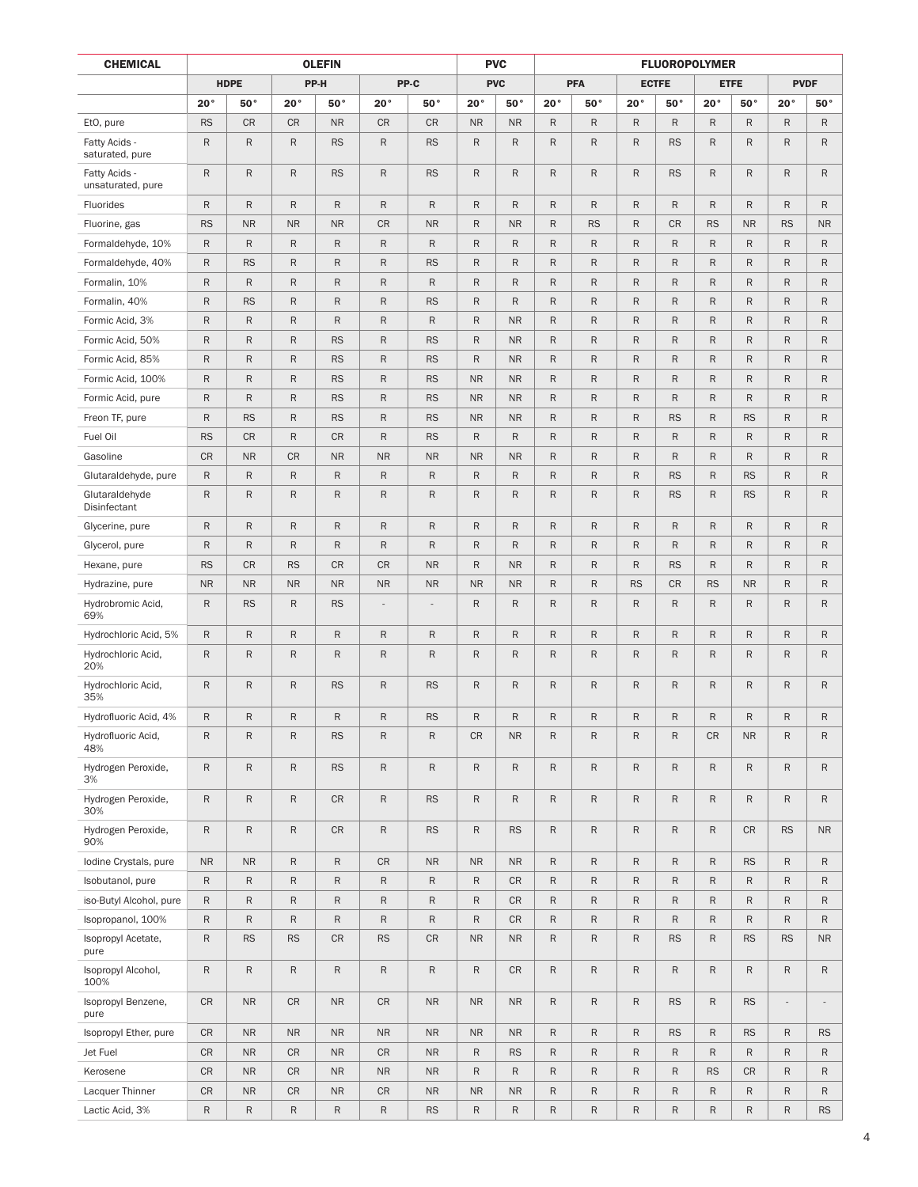| <b>CHEMICAL</b>                    | <b>OLEFIN</b> |              |              |              |                |                          |              | <b>PVC</b>   | <b>FLUOROPOLYMER</b> |              |              |              |              |              |                |                          |  |
|------------------------------------|---------------|--------------|--------------|--------------|----------------|--------------------------|--------------|--------------|----------------------|--------------|--------------|--------------|--------------|--------------|----------------|--------------------------|--|
|                                    |               | <b>HDPE</b>  |              | PP-H         |                | PP-C                     |              | <b>PVC</b>   |                      | <b>PFA</b>   |              | <b>ECTFE</b> |              | <b>ETFE</b>  |                | <b>PVDF</b>              |  |
|                                    | $20^{\circ}$  | 50°          | $20^{\circ}$ | $50^{\circ}$ | $20^{\circ}$   | $50^{\circ}$             | $20^{\circ}$ | $50^{\circ}$ | $20^{\circ}$         | $50^{\circ}$ | $20^{\circ}$ | 50°          | $20^{\circ}$ | 50°          | $20^{\circ}$   | $50^{\circ}$             |  |
| EtO, pure                          | <b>RS</b>     | CR           | <b>CR</b>    | <b>NR</b>    | <b>CR</b>      | <b>CR</b>                | <b>NR</b>    | <b>NR</b>    | R                    | $\mathsf{R}$ | $\mathsf{R}$ | R            | $\mathsf R$  | R            | $\mathsf{R}$   | $\mathsf{R}$             |  |
| Fatty Acids -<br>saturated, pure   | ${\sf R}$     | R            | $\mathsf{R}$ | <b>RS</b>    | ${\sf R}$      | <b>RS</b>                | $\mathsf{R}$ | R            | R                    | ${\sf R}$    | $\mathsf{R}$ | <b>RS</b>    | R            | R            | R              | R                        |  |
| Fatty Acids -<br>unsaturated, pure | ${\sf R}$     | R            | $\mathsf{R}$ | <b>RS</b>    | $\mathsf{R}$   | <b>RS</b>                | R            | R            | R                    | R            | ${\sf R}$    | <b>RS</b>    | R            | R            | $\mathsf{R}$   | R                        |  |
| Fluorides                          | $\mathsf{R}$  | ${\sf R}$    | $\mathsf{R}$ | $\sf R$      | $\mathsf{R}$   | $\mathsf{R}$             | R            | $\mathsf R$  | R                    | ${\sf R}$    | $\mathsf{R}$ | $\mathsf{R}$ | R            | R            | $\mathsf{R}$   | $\mathsf{R}$             |  |
| Fluorine, gas                      | <b>RS</b>     | <b>NR</b>    | <b>NR</b>    | <b>NR</b>    | <b>CR</b>      | <b>NR</b>                | R            | <b>NR</b>    | $\mathsf{R}$         | <b>RS</b>    | $\mathsf{R}$ | <b>CR</b>    | <b>RS</b>    | <b>NR</b>    | <b>RS</b>      | <b>NR</b>                |  |
| Formaldehyde, 10%                  | R             | R            | R            | $\mathsf{R}$ | ${\sf R}$      | $\mathsf{R}$             | R            | $\mathsf R$  | R                    | ${\sf R}$    | $\mathsf R$  | R            | R            | R            | $\mathsf{R}$   | R                        |  |
| Formaldehyde, 40%                  | $\mathsf{R}$  | <b>RS</b>    | $\mathsf{R}$ | $\mathsf{R}$ | $\mathsf{R}$   | <b>RS</b>                | R            | $\mathsf{R}$ | R                    | $\mathsf{R}$ | $\mathsf{R}$ | R            | R            | R            | $\mathsf{R}$   | $\mathsf{R}$             |  |
| Formalin, 10%                      | ${\sf R}$     | R            | $\mathsf{R}$ | $\mathsf{R}$ | ${\sf R}$      | $\mathsf R$              | R            | $\mathsf R$  | R                    | ${\sf R}$    | $\mathsf{R}$ | R            | R            | R            | $\mathsf{R}$   | R                        |  |
| Formalin, 40%                      | $\mathsf{R}$  | <b>RS</b>    | $\mathsf{R}$ | $\mathsf R$  | $\mathsf{R}$   | <b>RS</b>                | R            | $\mathsf R$  | R                    | R            | $\mathsf{R}$ | $\mathsf{R}$ | R            | R            | R              | $\mathsf{R}$             |  |
| Formic Acid, 3%                    | R             | R            | $\mathsf{R}$ | $\mathsf{R}$ | $\mathsf{R}$   | $\mathsf R$              | R            | <b>NR</b>    | R                    | $\mathsf{R}$ | $\mathsf{R}$ | R            | R            | R            | R              | R                        |  |
| Formic Acid, 50%                   | R             | R            | $\mathsf{R}$ | <b>RS</b>    | R              | <b>RS</b>                | R            | <b>NR</b>    | R                    | ${\sf R}$    | $\mathsf{R}$ | R            | R            | R            | R              | R                        |  |
| Formic Acid, 85%                   | $\mathsf{R}$  | $\mathsf R$  | $\mathsf{R}$ | <b>RS</b>    | R              | <b>RS</b>                | R            | <b>NR</b>    | $\mathsf{R}$         | ${\sf R}$    | $\mathsf{R}$ | R            | R            | R            | R              | R                        |  |
| Formic Acid, 100%                  | R             | R            | R            | <b>RS</b>    | R              | <b>RS</b>                | <b>NR</b>    | <b>NR</b>    | R                    | $\mathsf{R}$ | $\mathsf R$  | R            | R            | R            | R              | R                        |  |
| Formic Acid, pure                  | ${\sf R}$     | ${\sf R}$    | $\mathsf{R}$ | <b>RS</b>    | R              | <b>RS</b>                | <b>NR</b>    | <b>NR</b>    | R                    | ${\sf R}$    | ${\sf R}$    | R            | R            | R            | R              | $\mathsf{R}$             |  |
| Freon TF, pure                     | ${\sf R}$     | <b>RS</b>    | $\mathsf{R}$ | <b>RS</b>    | $\mathsf{R}$   | <b>RS</b>                | <b>NR</b>    | <b>NR</b>    | R                    | $\mathsf{R}$ | $\mathsf{R}$ | <b>RS</b>    | $\mathsf{R}$ | <b>RS</b>    | R              | $\mathsf{R}$             |  |
| Fuel Oil                           | <b>RS</b>     | CR           | $\mathsf{R}$ | <b>CR</b>    | $\mathsf{R}$   | <b>RS</b>                | R            | $\mathsf R$  | R                    | ${\sf R}$    | $\mathsf{R}$ | $\mathsf{R}$ | R            | R            | $\mathsf{R}$   | $\mathsf{R}$             |  |
| Gasoline                           | <b>CR</b>     | <b>NR</b>    | <b>CR</b>    | <b>NR</b>    | <b>NR</b>      | <b>NR</b>                | <b>NR</b>    | <b>NR</b>    | $\mathsf{R}$         | $\mathsf{R}$ | $\mathsf{R}$ | R            | R            | R            | $\mathsf{R}$   | $\mathsf{R}$             |  |
| Glutaraldehyde, pure               | R             | $\mathsf{R}$ | $\mathsf{R}$ | $\mathsf{R}$ | R              | $\mathsf{R}$             | R            | $\mathsf R$  | R                    | R            | $\mathsf R$  | <b>RS</b>    | R            | <b>RS</b>    | R              | R                        |  |
| Glutaraldehyde<br>Disinfectant     | ${\sf R}$     | $\mathsf{R}$ | R            | $\mathsf R$  | $\mathsf{R}$   | $\mathsf R$              | R            | $\mathsf R$  | R                    | $\mathsf{R}$ | $\mathsf{R}$ | <b>RS</b>    | R            | <b>RS</b>    | R              | $\mathsf{R}$             |  |
| Glycerine, pure                    | ${\sf R}$     | $\mathsf{R}$ | $\mathsf{R}$ | $\sf R$      | $\mathsf{R}$   | ${\sf R}$                | R            | $\mathsf R$  | R                    | ${\sf R}$    | $\mathsf{R}$ | R            | R            | R            | $\mathsf{R}$   | $\mathsf{R}$             |  |
| Glycerol, pure                     | ${\sf R}$     | $\mathsf{R}$ | $\mathsf{R}$ | $\mathsf{R}$ | $\mathsf{R}$   | R                        | R            | $\mathsf R$  | $\mathsf{R}$         | $\mathsf{R}$ | $\mathsf{R}$ | R            | R            | R            | R              | $\mathsf{R}$             |  |
| Hexane, pure                       | <b>RS</b>     | <b>CR</b>    | <b>RS</b>    | <b>CR</b>    | <b>CR</b>      | <b>NR</b>                | R            | <b>NR</b>    | R                    | R            | $\mathsf{R}$ | <b>RS</b>    | R            | R            | R              | $\mathsf{R}$             |  |
| Hydrazine, pure                    | <b>NR</b>     | <b>NR</b>    | <b>NR</b>    | <b>NR</b>    | <b>NR</b>      | <b>NR</b>                | <b>NR</b>    | <b>NR</b>    | $\mathsf{R}$         | $\mathsf{R}$ | <b>RS</b>    | <b>CR</b>    | <b>RS</b>    | <b>NR</b>    | R              | $\mathsf{R}$             |  |
| Hydrobromic Acid,<br>69%           | R             | <b>RS</b>    | R            | <b>RS</b>    | $\overline{a}$ | $\overline{\phantom{a}}$ | R            | R            | R                    | ${\sf R}$    | $\mathsf R$  | R            | R            | R            | R              | R                        |  |
| Hydrochloric Acid, 5%              | R             | $\mathsf{R}$ | R            | $\mathsf R$  | $\mathsf R$    | $\mathsf{R}$             | R            | $\mathsf R$  | R                    | ${\sf R}$    | $\mathsf{R}$ | $\mathsf R$  | R            | R            | R              | R                        |  |
| Hydrochloric Acid,<br>20%          | $\mathsf{R}$  | $\mathsf{R}$ | $\mathsf{R}$ | $\mathsf{R}$ | $\mathsf{R}$   | $\mathsf{R}$             | $\mathsf{R}$ | $\mathsf R$  | R                    | $\mathsf{R}$ | $\mathsf{R}$ | R            | R            | R            | $\mathsf{R}$   | $\mathsf{R}$             |  |
| Hydrochloric Acid,<br>35%          | $\mathsf{R}$  | $\mathsf{R}$ | $\mathsf{R}$ | <b>RS</b>    | $\mathsf{R}$   | <b>RS</b>                | $\mathsf{R}$ | $\mathsf{R}$ | R                    | $\mathsf{R}$ | $\mathsf{R}$ | R            | R            | R            | $\mathsf{R}$   | $\mathsf{R}$             |  |
| Hydrofluoric Acid, 4%              | $\mathsf{R}$  | $\mathsf R$  | $\mathsf{R}$ | ${\sf R}$    | R              | <b>RS</b>                | $\mathsf{R}$ | $\mathsf R$  | R                    | $\mathsf{R}$ | $\mathsf{R}$ | R            | R            | R            | R              | $\mathsf{R}$             |  |
| Hydrofluoric Acid,<br>48%          | ${\sf R}$     | R            | $\mathsf{R}$ | <b>RS</b>    | ${\sf R}$      | ${\sf R}$                | CR           | <b>NR</b>    | R                    | R            | $\mathsf R$  | $\mathsf R$  | CR           | <b>NR</b>    | R              | $\mathsf{R}$             |  |
| Hydrogen Peroxide,<br>3%           | ${\sf R}$     | ${\sf R}$    | $\mathsf{R}$ | <b>RS</b>    | R              | $\mathsf{R}$             | R            | $\mathsf R$  | R                    | $\mathsf{R}$ | $\mathsf{R}$ | $\mathsf R$  | R            | $\mathsf{R}$ | $\mathsf{R}$   | R                        |  |
| Hydrogen Peroxide,<br>30%          | ${\sf R}$     | ${\sf R}$    | $\mathsf{R}$ | CR           | R              | <b>RS</b>                | R            | R            | R                    | $\mathsf{R}$ | $\mathsf R$  | R            | R            | R            | R              | R                        |  |
| Hydrogen Peroxide,<br>90%          | ${\sf R}$     | ${\sf R}$    | $\mathsf{R}$ | CR           | R              | <b>RS</b>                | R            | <b>RS</b>    | R                    | $\mathsf{R}$ | ${\sf R}$    | ${\sf R}$    | R            | CR           | <b>RS</b>      | <b>NR</b>                |  |
| lodine Crystals, pure              | <b>NR</b>     | <b>NR</b>    | $\mathsf{R}$ | $\sf R$      | CR             | <b>NR</b>                | <b>NR</b>    | <b>NR</b>    | R                    | $\mathsf{R}$ | $\mathsf R$  | R            | R            | <b>RS</b>    | $\mathsf{R}$   | R                        |  |
| Isobutanol, pure                   | ${\sf R}$     | $\mathsf{R}$ | $\mathsf{R}$ | ${\sf R}$    | R              | $\mathsf{R}$             | R            | <b>CR</b>    | R                    | $\mathsf{R}$ | $\mathsf R$  | R            | R            | R            | $\mathsf{R}$   | R                        |  |
| iso-Butyl Alcohol, pure            | ${\sf R}$     | ${\sf R}$    | $\mathsf{R}$ | $\mathsf R$  | ${\sf R}$      | $\mathsf{R}$             | R            | <b>CR</b>    | R                    | $\mathsf{R}$ | $\mathsf R$  | R            | R            | R            | $\mathsf{R}$   | R                        |  |
| Isopropanol, 100%                  | ${\sf R}$     | ${\sf R}$    | $\mathsf{R}$ | ${\sf R}$    | R              | $\mathsf{R}$             | R            | CR           | R                    | $\mathsf{R}$ | $\mathsf R$  | R            | R            | $\mathsf{R}$ | $\mathsf{R}$   | R                        |  |
| Isopropyl Acetate,<br>pure         | ${\sf R}$     | <b>RS</b>    | <b>RS</b>    | <b>CR</b>    | <b>RS</b>      | CR                       | <b>NR</b>    | <b>NR</b>    | R                    | $\mathsf{R}$ | $\mathsf R$  | <b>RS</b>    | R            | <b>RS</b>    | <b>RS</b>      | <b>NR</b>                |  |
| Isopropyl Alcohol,<br>100%         | ${\sf R}$     | $\mathsf R$  | $\mathsf{R}$ | ${\sf R}$    | R              | $\mathsf{R}$             | R            | CR           | R                    | $\mathsf{R}$ | $\mathsf R$  | R            | R            | R            | R              | R                        |  |
| Isopropyl Benzene,<br>pure         | CR            | <b>NR</b>    | CR           | <b>NR</b>    | CR             | <b>NR</b>                | <b>NR</b>    | <b>NR</b>    | R                    | $\mathsf{R}$ | $\mathsf R$  | <b>RS</b>    | R            | <b>RS</b>    | $\overline{a}$ | $\overline{\phantom{a}}$ |  |
| Isopropyl Ether, pure              | <b>CR</b>     | <b>NR</b>    | <b>NR</b>    | <b>NR</b>    | <b>NR</b>      | <b>NR</b>                | <b>NR</b>    | <b>NR</b>    | R                    | $\mathsf{R}$ | $\mathsf{R}$ | <b>RS</b>    | $\mathsf{R}$ | <b>RS</b>    | R              | <b>RS</b>                |  |
| Jet Fuel                           | CR            | <b>NR</b>    | <b>CR</b>    | <b>NR</b>    | <b>CR</b>      | <b>NR</b>                | R            | <b>RS</b>    | R                    | $\mathsf{R}$ | R            | R            | R            | R            | $\mathsf{R}$   | R                        |  |
| Kerosene                           | CR            | <b>NR</b>    | <b>CR</b>    | <b>NR</b>    | <b>NR</b>      | <b>NR</b>                | R            | R            | R                    | $\mathsf{R}$ | $\mathsf{R}$ | R            | <b>RS</b>    | CR           | $\mathsf{R}$   | R                        |  |
| Lacquer Thinner                    | CR            | <b>NR</b>    | CR           | <b>NR</b>    | CR             | <b>NR</b>                | <b>NR</b>    | <b>NR</b>    | R                    | ${\sf R}$    | ${\sf R}$    | R            | R            | R            | $\mathsf{R}$   | R                        |  |
| Lactic Acid, 3%                    | $\mathsf{R}$  | ${\sf R}$    | R            | ${\sf R}$    | $\mathsf{R}$   | <b>RS</b>                | R            | $\mathsf{R}$ | R                    | ${\sf R}$    | ${\sf R}$    | ${\sf R}$    | R            | R            | $\mathsf{R}$   | <b>RS</b>                |  |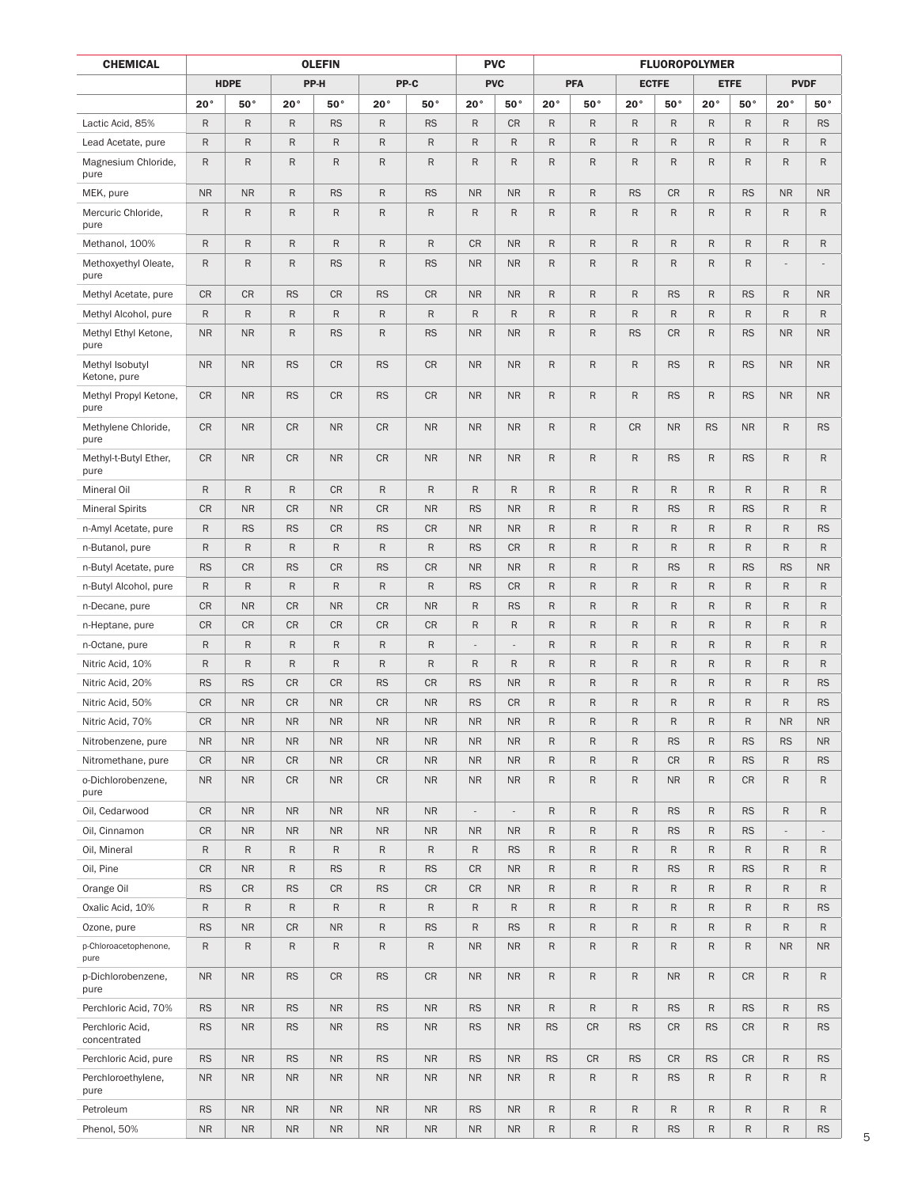| <b>CHEMICAL</b>                  | <b>OLEFIN</b> |              |              |              |              |              | <b>PVC</b><br><b>FLUOROPOLYMER</b> |                |              |              |              |              |             |              |                          |              |  |
|----------------------------------|---------------|--------------|--------------|--------------|--------------|--------------|------------------------------------|----------------|--------------|--------------|--------------|--------------|-------------|--------------|--------------------------|--------------|--|
|                                  |               | <b>HDPE</b>  |              | PP-H         |              | PP-C         |                                    | <b>PVC</b>     |              | <b>PFA</b>   |              | <b>ECTFE</b> |             | <b>ETFE</b>  | <b>PVDF</b>              |              |  |
|                                  | $20^{\circ}$  | 50°          | 20°          | 50°          | $20^{\circ}$ | $50^{\circ}$ | 20°                                | 50°            | $20^{\circ}$ | $50^{\circ}$ | $20^{\circ}$ | $50^{\circ}$ | 20°         | 50°          | $20^{\circ}$             | $50^{\circ}$ |  |
| Lactic Acid, 85%                 | $\mathsf{R}$  | $\mathsf{R}$ | $\mathsf{R}$ | <b>RS</b>    | $\mathsf{R}$ | <b>RS</b>    | $\mathsf{R}$                       | <b>CR</b>      | R            | R            | $\mathsf{R}$ | $\mathsf{R}$ | $\mathsf R$ | $\mathsf{R}$ | $\mathsf{R}$             | <b>RS</b>    |  |
| Lead Acetate, pure               | R             | $\mathsf R$  | $\mathsf{R}$ | $\mathsf{R}$ | R            | $\mathsf R$  | R                                  | R              | R            | R            | $\mathsf{R}$ | R            | R           | R            | R                        | R            |  |
| Magnesium Chloride,<br>pure      | $\mathsf{R}$  | $\mathsf R$  | $\mathsf{R}$ | $\mathsf{R}$ | $\mathsf R$  | $\mathsf R$  | R                                  | R              | R            | $\mathsf{R}$ | $\mathsf{R}$ | R            | R           | R            | R                        | R            |  |
| MEK, pure                        | <b>NR</b>     | <b>NR</b>    | $\mathsf{R}$ | <b>RS</b>    | $\mathsf{R}$ | <b>RS</b>    | <b>NR</b>                          | <b>NR</b>      | R            | $\mathsf{R}$ | <b>RS</b>    | <b>CR</b>    | R           | <b>RS</b>    | <b>NR</b>                | <b>NR</b>    |  |
| Mercuric Chloride,<br>pure       | $\mathsf R$   | $\mathsf R$  | $\mathsf{R}$ | $\mathsf{R}$ | $\mathsf R$  | $\mathsf{R}$ | $\mathsf{R}$                       | R              | R            | R            | $\mathsf{R}$ | R            | R           | R            | R                        | $\mathsf{R}$ |  |
| Methanol, 100%                   | R             | $\mathsf{R}$ | R            | $\mathsf{R}$ | R            | R            | <b>CR</b>                          | <b>NR</b>      | R            | ${\sf R}$    | R            | R            | R           | R            | R                        | R            |  |
| Methoxyethyl Oleate,<br>pure     | $\mathsf{R}$  | $\mathsf{R}$ | $\mathsf{R}$ | <b>RS</b>    | $\mathsf{R}$ | <b>RS</b>    | <b>NR</b>                          | <b>NR</b>      | R            | R            | $\mathsf{R}$ | $\mathsf{R}$ | R           | R            |                          |              |  |
| Methyl Acetate, pure             | <b>CR</b>     | <b>CR</b>    | <b>RS</b>    | <b>CR</b>    | <b>RS</b>    | <b>CR</b>    | <b>NR</b>                          | <b>NR</b>      | R            | $\mathsf{R}$ | $\mathsf{R}$ | <b>RS</b>    | R           | <b>RS</b>    | $\mathsf{R}$             | <b>NR</b>    |  |
| Methyl Alcohol, pure             | R             | $\mathsf R$  | $\mathsf{R}$ | $\mathsf{R}$ | $\mathsf{R}$ | $\mathsf R$  | R                                  | $\mathsf R$    | R            | R            | $\mathsf{R}$ | R            | R           | R            | R                        | $\mathsf{R}$ |  |
| Methyl Ethyl Ketone,<br>pure     | <b>NR</b>     | <b>NR</b>    | $\mathsf{R}$ | <b>RS</b>    | R            | <b>RS</b>    | <b>NR</b>                          | <b>NR</b>      | R            | R            | <b>RS</b>    | <b>CR</b>    | R           | <b>RS</b>    | <b>NR</b>                | <b>NR</b>    |  |
| Methyl Isobutyl<br>Ketone, pure  | <b>NR</b>     | <b>NR</b>    | <b>RS</b>    | <b>CR</b>    | <b>RS</b>    | CR           | <b>NR</b>                          | <b>NR</b>      | R            | ${\sf R}$    | $\mathsf{R}$ | <b>RS</b>    | R           | <b>RS</b>    | <b>NR</b>                | <b>NR</b>    |  |
| Methyl Propyl Ketone,<br>pure    | <b>CR</b>     | <b>NR</b>    | <b>RS</b>    | <b>CR</b>    | <b>RS</b>    | <b>CR</b>    | <b>NR</b>                          | <b>NR</b>      | R            | $\mathsf{R}$ | $\mathsf{R}$ | <b>RS</b>    | R           | <b>RS</b>    | <b>NR</b>                | <b>NR</b>    |  |
| Methylene Chloride,<br>pure      | <b>CR</b>     | <b>NR</b>    | <b>CR</b>    | <b>NR</b>    | <b>CR</b>    | <b>NR</b>    | <b>NR</b>                          | <b>NR</b>      | R            | $\mathsf{R}$ | <b>CR</b>    | <b>NR</b>    | <b>RS</b>   | <b>NR</b>    | $\mathsf{R}$             | <b>RS</b>    |  |
| Methyl-t-Butyl Ether,<br>pure    | <b>CR</b>     | <b>NR</b>    | <b>CR</b>    | <b>NR</b>    | <b>CR</b>    | <b>NR</b>    | <b>NR</b>                          | <b>NR</b>      | R            | $\mathsf{R}$ | $\mathsf{R}$ | <b>RS</b>    | R           | <b>RS</b>    | R                        | $\mathsf{R}$ |  |
| <b>Mineral Oil</b>               | $\mathsf{R}$  | $\mathsf R$  | $\mathsf{R}$ | <b>CR</b>    | $\mathsf{R}$ | $\mathsf{R}$ | R                                  | $\mathsf R$    | $\mathsf{R}$ | $\mathsf{R}$ | $\mathsf{R}$ | R            | R           | R            | $\mathsf{R}$             | $\mathsf{R}$ |  |
| <b>Mineral Spirits</b>           | CR            | <b>NR</b>    | <b>CR</b>    | <b>NR</b>    | <b>CR</b>    | <b>NR</b>    | <b>RS</b>                          | <b>NR</b>      | R            | R            | $\mathsf{R}$ | <b>RS</b>    | R           | <b>RS</b>    | R                        | R            |  |
| n-Amyl Acetate, pure             | R             | <b>RS</b>    | <b>RS</b>    | <b>CR</b>    | <b>RS</b>    | <b>CR</b>    | <b>NR</b>                          | <b>NR</b>      | R            | R            | $\mathsf{R}$ | R            | R           | R            | R                        | <b>RS</b>    |  |
| n-Butanol, pure                  | R             | $\mathsf R$  | $\mathsf{R}$ | $\mathsf{R}$ | $\mathsf{R}$ | $\mathsf R$  | <b>RS</b>                          | <b>CR</b>      | R            | R            | $\mathsf{R}$ | R            | R           | R            | R                        | R            |  |
| n-Butyl Acetate, pure            | <b>RS</b>     | <b>CR</b>    | <b>RS</b>    | <b>CR</b>    | <b>RS</b>    | <b>CR</b>    | <b>NR</b>                          | <b>NR</b>      | R            | $\mathsf{R}$ | $\mathsf{R}$ | <b>RS</b>    | R           | <b>RS</b>    | <b>RS</b>                | <b>NR</b>    |  |
| n-Butyl Alcohol, pure            | ${\sf R}$     | $\mathsf{R}$ | $\mathsf{R}$ | $\mathsf{R}$ | $\mathsf{R}$ | $\mathsf{R}$ | <b>RS</b>                          | <b>CR</b>      | $\mathsf{R}$ | $\mathsf{R}$ | $\mathsf{R}$ | R            | R           | R            | $\mathsf{R}$             | $\mathsf{R}$ |  |
| n-Decane, pure                   | <b>CR</b>     | <b>NR</b>    | <b>CR</b>    | <b>NR</b>    | <b>CR</b>    | <b>NR</b>    | R                                  | <b>RS</b>      | R            | R            | $\mathsf{R}$ | R            | R           | R            | R                        | R            |  |
| n-Heptane, pure                  | <b>CR</b>     | <b>CR</b>    | <b>CR</b>    | <b>CR</b>    | <b>CR</b>    | <b>CR</b>    | R                                  | $\mathsf R$    | R            | R            | $\mathsf{R}$ | R            | R           | R            | $\mathsf{R}$             | $\mathsf{R}$ |  |
| n-Octane, pure                   | R             | $\mathsf{R}$ | $\mathsf{R}$ | $\mathsf{R}$ | $\mathsf{R}$ | $\mathsf{R}$ | $\overline{a}$                     | $\overline{a}$ | R            | R            | $\mathsf{R}$ | R            | R           | R            | R                        | R            |  |
| Nitric Acid, 10%                 | R             | $\mathsf R$  | $\mathsf{R}$ | $\mathsf{R}$ | R            | R            | R                                  | R              | R            | R            | $\mathsf{R}$ | R            | $\mathsf R$ | R            | R                        | R            |  |
| Nitric Acid, 20%                 | <b>RS</b>     | <b>RS</b>    | <b>CR</b>    | <b>CR</b>    | <b>RS</b>    | <b>CR</b>    | <b>RS</b>                          | <b>NR</b>      | R            | $\mathsf{R}$ | $\mathsf{R}$ | R            | R           | R            | R                        | <b>RS</b>    |  |
| Nitric Acid, 50%                 | <b>CR</b>     | <b>NR</b>    | <b>CR</b>    | <b>NR</b>    | <b>CR</b>    | <b>NR</b>    | <b>RS</b>                          | <b>CR</b>      | R            | R            | $\mathsf{R}$ | R            | R           | R            | R                        | <b>RS</b>    |  |
| Nitric Acid, 70%                 | ${\sf CR}$    | ${\sf NR}$   | ${\sf NR}$   | ${\sf NR}$   | ${\sf NR}$   | ${\sf NR}$   | ${\sf NR}$                         | ${\sf NR}$     | R            | R            | ${\sf R}$    | R            | R           | R            | ${\sf NR}$               | ${\sf NR}$   |  |
| Nitrobenzene, pure               | <b>NR</b>     | <b>NR</b>    | <b>NR</b>    | <b>NR</b>    | <b>NR</b>    | <b>NR</b>    | <b>NR</b>                          | <b>NR</b>      | R            | ${\sf R}$    | $\mathsf{R}$ | <b>RS</b>    | R           | <b>RS</b>    | <b>RS</b>                | <b>NR</b>    |  |
| Nitromethane, pure               | CR            | <b>NR</b>    | CR           | <b>NR</b>    | <b>CR</b>    | <b>NR</b>    | <b>NR</b>                          | <b>NR</b>      | R            | ${\sf R}$    | $\mathsf{R}$ | CR           | R           | <b>RS</b>    | ${\sf R}$                | <b>RS</b>    |  |
| o-Dichlorobenzene,<br>pure       | <b>NR</b>     | <b>NR</b>    | <b>CR</b>    | <b>NR</b>    | CR           | <b>NR</b>    | <b>NR</b>                          | <b>NR</b>      | R            | R            | $\mathsf{R}$ | <b>NR</b>    | R           | CR           | $\mathsf{R}$             | $\mathsf{R}$ |  |
| Oil, Cedarwood                   | CR            | <b>NR</b>    | <b>NR</b>    | <b>NR</b>    | <b>NR</b>    | <b>NR</b>    | $\overline{\phantom{a}}$           | $\overline{a}$ | R            | ${\sf R}$    | ${\sf R}$    | <b>RS</b>    | R           | <b>RS</b>    | R                        | R            |  |
| Oil, Cinnamon                    | CR            | <b>NR</b>    | <b>NR</b>    | <b>NR</b>    | <b>NR</b>    | <b>NR</b>    | <b>NR</b>                          | <b>NR</b>      | R            | R            | $\mathsf{R}$ | <b>RS</b>    | R           | <b>RS</b>    | $\overline{\phantom{a}}$ |              |  |
| Oil, Mineral                     | $\mathsf R$   | R            | $\mathsf{R}$ | $\mathsf R$  | $\mathsf{R}$ | ${\sf R}$    | R                                  | <b>RS</b>      | R            | R            | $\mathsf{R}$ | $\mathsf R$  | R           | $\mathsf{R}$ | R                        | $\mathsf R$  |  |
| Oil, Pine                        | CR            | <b>NR</b>    | $\mathsf{R}$ | <b>RS</b>    | $\mathsf R$  | <b>RS</b>    | CR                                 | <b>NR</b>      | R            | ${\sf R}$    | $\mathsf{R}$ | <b>RS</b>    | R           | <b>RS</b>    | $\mathsf{R}$             | $\mathsf R$  |  |
| Orange Oil                       | <b>RS</b>     | CR           | <b>RS</b>    | <b>CR</b>    | <b>RS</b>    | CR           | CR                                 | <b>NR</b>      | R            | R            | $\mathsf R$  | R            | R           | R            | $\mathsf{R}$             | R            |  |
| Oxalic Acid, 10%                 | ${\sf R}$     | R            | $\mathsf{R}$ | ${\sf R}$    | R            | ${\sf R}$    | $\mathsf R$                        | R              | R            | ${\sf R}$    | $\mathsf R$  | R            | R           | R            | R                        | <b>RS</b>    |  |
| Ozone, pure                      | <b>RS</b>     | <b>NR</b>    | CR           | <b>NR</b>    | $\mathsf R$  | <b>RS</b>    | R                                  | <b>RS</b>      | R            | ${\sf R}$    | $\mathsf{R}$ | R            | R           | R            | R                        | R            |  |
| p-Chloroacetophenone,<br>pure    | $\mathsf R$   | R            | R            | ${\sf R}$    | $\mathsf{R}$ | ${\sf R}$    | <b>NR</b>                          | <b>NR</b>      | R            | R            | ${\sf R}$    | $\mathsf R$  | R           | $\mathsf{R}$ | <b>NR</b>                | <b>NR</b>    |  |
| p-Dichlorobenzene,<br>pure       | <b>NR</b>     | <b>NR</b>    | <b>RS</b>    | <b>CR</b>    | <b>RS</b>    | CR           | <b>NR</b>                          | <b>NR</b>      | R            | ${\sf R}$    | $\mathsf{R}$ | <b>NR</b>    | R           | CR           | R                        | R            |  |
| Perchloric Acid, 70%             | <b>RS</b>     | <b>NR</b>    | <b>RS</b>    | <b>NR</b>    | <b>RS</b>    | <b>NR</b>    | <b>RS</b>                          | <b>NR</b>      | R            | ${\sf R}$    | $\mathsf{R}$ | <b>RS</b>    | R           | <b>RS</b>    | R                        | <b>RS</b>    |  |
| Perchloric Acid,<br>concentrated | <b>RS</b>     | <b>NR</b>    | <b>RS</b>    | NR           | <b>RS</b>    | <b>NR</b>    | <b>RS</b>                          | <b>NR</b>      | <b>RS</b>    | CR           | <b>RS</b>    | CR           | <b>RS</b>   | CR           | R                        | <b>RS</b>    |  |
| Perchloric Acid, pure            | <b>RS</b>     | <b>NR</b>    | <b>RS</b>    | <b>NR</b>    | <b>RS</b>    | <b>NR</b>    | <b>RS</b>                          | <b>NR</b>      | <b>RS</b>    | CR           | <b>RS</b>    | CR           | <b>RS</b>   | CR           | R                        | <b>RS</b>    |  |
| Perchloroethylene,<br>pure       | <b>NR</b>     | <b>NR</b>    | <b>NR</b>    | <b>NR</b>    | <b>NR</b>    | <b>NR</b>    | <b>NR</b>                          | <b>NR</b>      | R            | R            | $\mathsf R$  | <b>RS</b>    | R           | R            | R                        | R            |  |
| Petroleum                        | <b>RS</b>     | <b>NR</b>    | <b>NR</b>    | <b>NR</b>    | <b>NR</b>    | <b>NR</b>    | <b>RS</b>                          | <b>NR</b>      | R            | R            | ${\sf R}$    | $\mathsf R$  | R           | R            | R                        | R            |  |
| Phenol, 50%                      | ${\sf NR}$    | <b>NR</b>    | <b>NR</b>    | ${\sf NR}$   | <b>NR</b>    | <b>NR</b>    | <b>NR</b>                          | <b>NR</b>      | R            | R            | R            | <b>RS</b>    | R           | R            | R                        | <b>RS</b>    |  |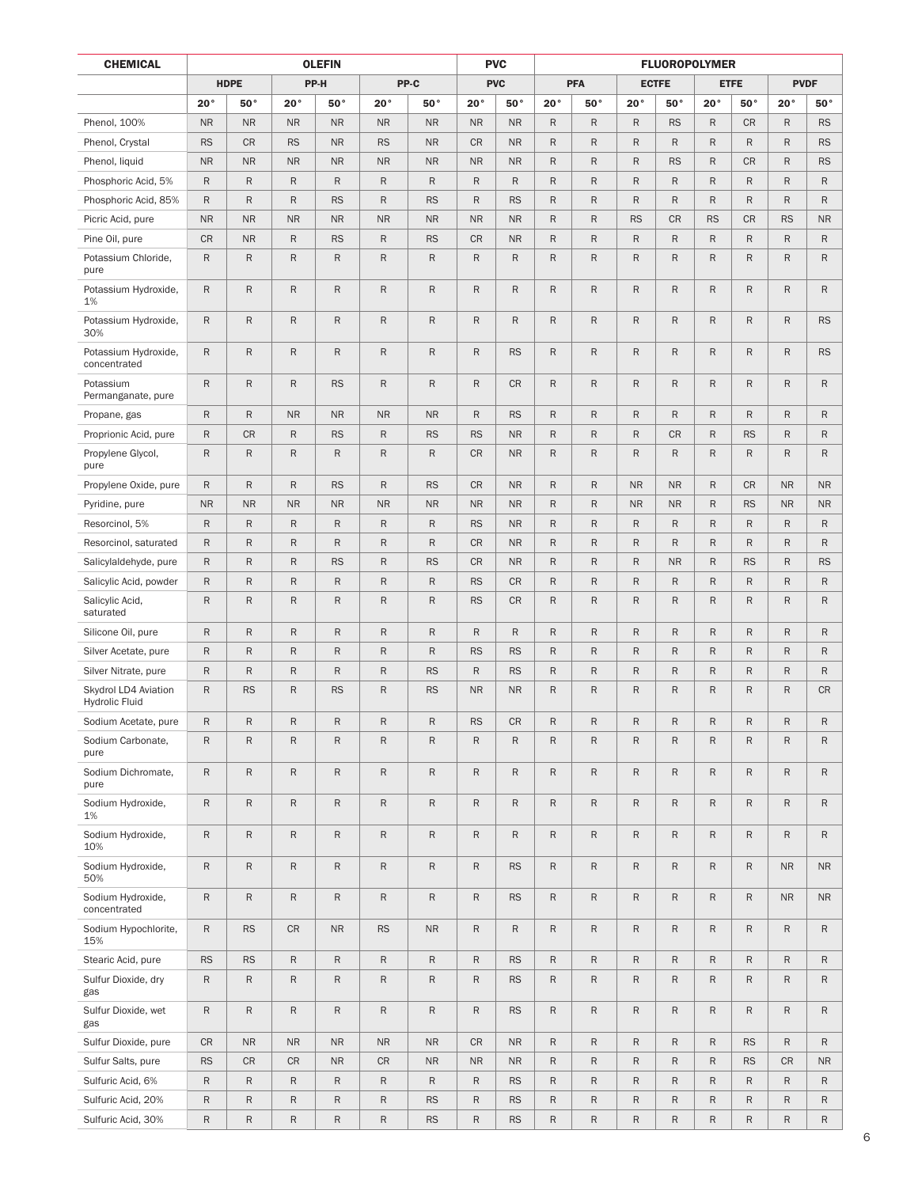| <b>CHEMICAL</b>                               | <b>OLEFIN</b> |              |              |              |              |              |              | <b>PVC</b>   | <b>FLUOROPOLYMER</b> |              |              |              |              |              |              |              |  |  |
|-----------------------------------------------|---------------|--------------|--------------|--------------|--------------|--------------|--------------|--------------|----------------------|--------------|--------------|--------------|--------------|--------------|--------------|--------------|--|--|
|                                               |               | <b>HDPE</b>  |              | PP-H         |              | PP-C         |              | <b>PVC</b>   |                      | <b>PFA</b>   |              | <b>ECTFE</b> |              | <b>ETFE</b>  |              | <b>PVDF</b>  |  |  |
|                                               | $20^{\circ}$  | $50^{\circ}$ | 20°          | $50^{\circ}$ | $20^{\circ}$ | $50^{\circ}$ | 20°          | $50^{\circ}$ | $20^{\circ}$         | $50^{\circ}$ | $20^{\circ}$ | $50^{\circ}$ | $20^{\circ}$ | 50°          | $20^{\circ}$ | $50^{\circ}$ |  |  |
| Phenol, 100%                                  | <b>NR</b>     | <b>NR</b>    | <b>NR</b>    | <b>NR</b>    | <b>NR</b>    | <b>NR</b>    | <b>NR</b>    | <b>NR</b>    | R                    | $\mathsf{R}$ | $\mathsf{R}$ | <b>RS</b>    | R            | <b>CR</b>    | $\mathsf{R}$ | <b>RS</b>    |  |  |
| Phenol, Crystal                               | <b>RS</b>     | CR           | <b>RS</b>    | <b>NR</b>    | <b>RS</b>    | <b>NR</b>    | <b>CR</b>    | <b>NR</b>    | R                    | R            | $\mathsf R$  | R            | R            | R            | $\mathsf{R}$ | <b>RS</b>    |  |  |
| Phenol, liquid                                | <b>NR</b>     | <b>NR</b>    | <b>NR</b>    | <b>NR</b>    | <b>NR</b>    | <b>NR</b>    | <b>NR</b>    | <b>NR</b>    | R                    | ${\sf R}$    | $\mathsf{R}$ | <b>RS</b>    | R            | <b>CR</b>    | R            | <b>RS</b>    |  |  |
| Phosphoric Acid, 5%                           | ${\sf R}$     | R            | $\mathsf{R}$ | $\mathsf{R}$ | $\mathsf{R}$ | $\mathsf R$  | $\mathsf{R}$ | $\mathsf R$  | R                    | ${\sf R}$    | $\mathsf{R}$ | R            | R            | R            | $\mathsf{R}$ | $\mathsf{R}$ |  |  |
| Phosphoric Acid, 85%                          | ${\sf R}$     | R            | $\mathsf{R}$ | <b>RS</b>    | ${\sf R}$    | <b>RS</b>    | R            | <b>RS</b>    | R                    | ${\sf R}$    | $\mathsf{R}$ | R            | R            | R            | $\mathsf{R}$ | $\mathsf{R}$ |  |  |
| Picric Acid, pure                             | <b>NR</b>     | <b>NR</b>    | <b>NR</b>    | <b>NR</b>    | <b>NR</b>    | <b>NR</b>    | <b>NR</b>    | <b>NR</b>    | $\mathsf{R}$         | $\mathsf{R}$ | <b>RS</b>    | <b>CR</b>    | <b>RS</b>    | <b>CR</b>    | <b>RS</b>    | <b>NR</b>    |  |  |
| Pine Oil, pure                                | CR            | <b>NR</b>    | $\mathsf{R}$ | <b>RS</b>    | $\mathsf{R}$ | <b>RS</b>    | <b>CR</b>    | <b>NR</b>    | R                    | ${\sf R}$    | $\mathsf{R}$ | R            | $\mathsf{R}$ | R            | $\mathsf{R}$ | R            |  |  |
| Potassium Chloride,<br>pure                   | R             | $\mathsf{R}$ | $\mathsf{R}$ | ${\sf R}$    | $\mathsf{R}$ | R            | R            | R            | R                    | R            | $\mathsf{R}$ | R            | R            | R            | R            | $\mathsf{R}$ |  |  |
| Potassium Hydroxide,<br>1%                    | ${\sf R}$     | ${\sf R}$    | $\mathsf{R}$ | ${\sf R}$    | $\mathsf{R}$ | $\mathsf{R}$ | R            | R            | R                    | $\mathsf{R}$ | ${\sf R}$    | ${\sf R}$    | R            | R            | $\mathsf{R}$ | $\mathsf{R}$ |  |  |
| Potassium Hydroxide,<br>30%                   | $\mathsf{R}$  | $\mathsf{R}$ | $\mathsf{R}$ | $\mathsf{R}$ | $\mathsf{R}$ | $\mathsf{R}$ | R            | R            | $\mathsf{R}$         | $\mathsf{R}$ | $\mathsf{R}$ | R            | R            | R            | $\mathsf{R}$ | <b>RS</b>    |  |  |
| Potassium Hydroxide,<br>concentrated          | $\mathsf{R}$  | $\mathsf{R}$ | $\mathsf{R}$ | $\mathsf{R}$ | $\mathsf{R}$ | $\mathsf{R}$ | R            | <b>RS</b>    | $\mathsf{R}$         | $\mathsf{R}$ | $\mathsf{R}$ | $\mathsf{R}$ | R            | R            | $\mathsf{R}$ | <b>RS</b>    |  |  |
| Potassium<br>Permanganate, pure               | $\mathsf{R}$  | $\mathsf{R}$ | $\mathsf{R}$ | <b>RS</b>    | $\mathsf{R}$ | $\mathsf{R}$ | R            | <b>CR</b>    | $\mathsf{R}$         | $\mathsf{R}$ | $\mathsf{R}$ | R            | R            | R            | R            | $\mathsf{R}$ |  |  |
| Propane, gas                                  | ${\sf R}$     | R            | <b>NR</b>    | <b>NR</b>    | <b>NR</b>    | <b>NR</b>    | R            | <b>RS</b>    | R                    | $\mathsf{R}$ | $\mathsf{R}$ | R            | R            | R            | R            | $\mathsf{R}$ |  |  |
| Proprionic Acid, pure                         | ${\sf R}$     | CR           | $\mathsf{R}$ | <b>RS</b>    | $\mathsf R$  | <b>RS</b>    | <b>RS</b>    | <b>NR</b>    | R                    | $\mathsf{R}$ | $\mathsf{R}$ | <b>CR</b>    | R            | <b>RS</b>    | R            | $\mathsf{R}$ |  |  |
| Propylene Glycol,<br>pure                     | $\mathsf{R}$  | $\mathsf{R}$ | $\mathsf{R}$ | $\mathsf{R}$ | $\mathsf{R}$ | $\mathsf{R}$ | <b>CR</b>    | <b>NR</b>    | $\mathsf{R}$         | $\mathsf{R}$ | $\mathsf{R}$ | R            | R            | R            | $\mathsf{R}$ | $\mathsf{R}$ |  |  |
| Propylene Oxide, pure                         | $\mathsf{R}$  | $\mathsf{R}$ | $\mathsf{R}$ | <b>RS</b>    | $\mathsf{R}$ | <b>RS</b>    | <b>CR</b>    | <b>NR</b>    | $\mathsf{R}$         | $\mathsf{R}$ | <b>NR</b>    | <b>NR</b>    | R            | <b>CR</b>    | <b>NR</b>    | <b>NR</b>    |  |  |
| Pyridine, pure                                | <b>NR</b>     | <b>NR</b>    | <b>NR</b>    | <b>NR</b>    | <b>NR</b>    | <b>NR</b>    | <b>NR</b>    | <b>NR</b>    | R                    | $\mathsf{R}$ | <b>NR</b>    | <b>NR</b>    | R            | <b>RS</b>    | <b>NR</b>    | <b>NR</b>    |  |  |
| Resorcinol, 5%                                | ${\sf R}$     | ${\sf R}$    | $\mathsf{R}$ | ${\sf R}$    | ${\sf R}$    | ${\sf R}$    | <b>RS</b>    | <b>NR</b>    | R                    | ${\sf R}$    | $\sf R$      | R            | R            | R            | $\mathsf{R}$ | R            |  |  |
| Resorcinol, saturated                         | ${\sf R}$     | $\mathsf{R}$ | $\mathsf{R}$ | $\mathsf{R}$ | $\mathsf{R}$ | $\mathsf{R}$ | <b>CR</b>    | <b>NR</b>    | $\mathsf{R}$         | $\mathsf{R}$ | $\mathsf{R}$ | R            | R            | R            | R            | $\mathsf{R}$ |  |  |
| Salicylaldehyde, pure                         | R             | $\mathsf{R}$ | $\mathsf{R}$ | <b>RS</b>    | $\mathsf{R}$ | <b>RS</b>    | <b>CR</b>    | <b>NR</b>    | R                    | ${\sf R}$    | $\mathsf{R}$ | <b>NR</b>    | R            | <b>RS</b>    | R            | <b>RS</b>    |  |  |
| Salicylic Acid, powder                        | ${\sf R}$     | $\mathsf{R}$ | R            | $\mathsf{R}$ | $\mathsf{R}$ | $\mathsf{R}$ | <b>RS</b>    | <b>CR</b>    | $\mathsf{R}$         | $\mathsf{R}$ | $\mathsf{R}$ | $\mathsf{R}$ | R            | R            | $\mathsf{R}$ | $\mathsf{R}$ |  |  |
| Salicylic Acid,<br>saturated                  | ${\sf R}$     | ${\sf R}$    | $\mathsf{R}$ | $\mathsf{R}$ | ${\sf R}$    | $\mathsf{R}$ | <b>RS</b>    | CR           | R                    | R            | R            | R            | R            | R            | R            | R            |  |  |
| Silicone Oil, pure                            | ${\sf R}$     | $\mathsf{R}$ | $\mathsf{R}$ | $\mathsf R$  | ${\sf R}$    | $\mathsf{R}$ | R            | ${\sf R}$    | R                    | $\mathsf{R}$ | $\mathsf{R}$ | R            | R            | R            | R            | R            |  |  |
| Silver Acetate, pure                          | $\mathsf{R}$  | $\mathsf R$  | $\mathsf{R}$ | ${\sf R}$    | $\mathsf R$  | $\mathsf R$  | <b>RS</b>    | <b>RS</b>    | R                    | R            | $\mathsf{R}$ | $\mathsf{R}$ | R            | R            | R            | $\mathsf{R}$ |  |  |
| Silver Nitrate, pure                          | ${\sf R}$     | R            | $\mathsf{R}$ | $\mathsf{R}$ | $\mathsf{R}$ | <b>RS</b>    | $\mathsf{R}$ | <b>RS</b>    | R                    | $\mathsf{R}$ | $\mathsf{R}$ | R            | R            | R            | R            | $\mathsf{R}$ |  |  |
| Skydrol LD4 Aviation<br><b>Hydrolic Fluid</b> | $\mathsf{R}$  | <b>RS</b>    | $\mathsf{R}$ | <b>RS</b>    | R            | <b>RS</b>    | <b>NR</b>    | <b>NR</b>    | R                    | R            | $\mathsf{R}$ | R            | R            | R            | R            | <b>CR</b>    |  |  |
| Sodium Acetate, pure                          | ${\sf R}$     | R            | R            | ${\sf R}$    | R            | $\sf R$      | <b>RS</b>    | CR           | R                    | R            | ${\sf R}$    | R            | R            | R            | R            | ${\sf R}$    |  |  |
| Sodium Carbonate,<br>pure                     | $\mathsf{R}$  | $\mathsf{R}$ | $\mathsf{R}$ | $\mathsf{R}$ | $\mathsf{R}$ | $\mathsf{R}$ | $\mathsf{R}$ | $\mathsf R$  | R                    | $\mathsf{R}$ | $\mathsf{R}$ | $\mathsf{R}$ | R            | R            | $\mathsf{R}$ | $\mathsf{R}$ |  |  |
| Sodium Dichromate,<br>pure                    | ${\sf R}$     | ${\sf R}$    | $\mathsf{R}$ | $\mathsf R$  | $\mathsf R$  | $\mathsf{R}$ | R            | R            | R                    | R            | $\mathsf{R}$ | R            | $\mathsf R$  | R            | R            | R            |  |  |
| Sodium Hydroxide,<br>1%                       | ${\sf R}$     | ${\sf R}$    | R            | ${\sf R}$    | R            | $\mathsf{R}$ | R            | R            | R                    | R            | $\mathsf{R}$ | ${\sf R}$    | R            | R            | R            | R            |  |  |
| Sodium Hydroxide,<br>10%                      | ${\sf R}$     | R            | $\mathsf{R}$ | $\mathsf{R}$ | R            | $\mathsf R$  | R            | R            | R                    | R            | $\mathsf R$  | R            | R            | R            | R            | R            |  |  |
| Sodium Hydroxide,<br>50%                      | ${\sf R}$     | ${\sf R}$    | $\mathsf{R}$ | ${\sf R}$    | $\mathsf{R}$ | $\mathsf{R}$ | R            | <b>RS</b>    | R                    | R            | $\mathsf{R}$ | ${\sf R}$    | R            | R            | <b>NR</b>    | <b>NR</b>    |  |  |
| Sodium Hydroxide,<br>concentrated             | ${\sf R}$     | ${\sf R}$    | $\mathsf{R}$ | ${\sf R}$    | R            | ${\sf R}$    | R            | <b>RS</b>    | R                    | R            | $\mathsf R$  | R            | R            | R            | <b>NR</b>    | <b>NR</b>    |  |  |
| Sodium Hypochlorite,<br>15%                   | ${\sf R}$     | <b>RS</b>    | CR           | <b>NR</b>    | <b>RS</b>    | <b>NR</b>    | R            | $\mathsf R$  | R                    | R            | $\mathsf{R}$ | ${\sf R}$    | R            | R            | $\mathsf{R}$ | R            |  |  |
| Stearic Acid, pure                            | <b>RS</b>     | <b>RS</b>    | $\mathsf{R}$ | $\mathsf{R}$ | R            | $\mathsf{R}$ | $\mathsf{R}$ | <b>RS</b>    | R                    | ${\sf R}$    | $\mathsf{R}$ | R            | R            | $\mathsf{R}$ | $\mathsf{R}$ | R            |  |  |
| Sulfur Dioxide, dry<br>gas                    | ${\sf R}$     | R            | $\mathsf{R}$ | ${\sf R}$    | R            | ${\sf R}$    | R            | <b>RS</b>    | R                    | R            | $\mathsf R$  | R            | R            | R            | R            | R            |  |  |
| Sulfur Dioxide, wet<br>gas                    | $\mathsf{R}$  | $\mathsf{R}$ | $\mathsf{R}$ | $\mathsf{R}$ | R            | $\mathsf{R}$ | R            | <b>RS</b>    | R                    | $\mathsf{R}$ | $\mathsf{R}$ | ${\sf R}$    | R            | R            | $\mathsf{R}$ | $\mathsf{R}$ |  |  |
| Sulfur Dioxide, pure                          | CR            | <b>NR</b>    | <b>NR</b>    | <b>NR</b>    | <b>NR</b>    | <b>NR</b>    | <b>CR</b>    | <b>NR</b>    | R                    | ${\sf R}$    | $\mathsf R$  | R            | R            | <b>RS</b>    | R            | R            |  |  |
| Sulfur Salts, pure                            | <b>RS</b>     | CR           | <b>CR</b>    | <b>NR</b>    | CR           | <b>NR</b>    | <b>NR</b>    | <b>NR</b>    | R                    | ${\sf R}$    | $\mathsf R$  | R            | $\mathsf{R}$ | <b>RS</b>    | <b>CR</b>    | NR           |  |  |
| Sulfuric Acid, 6%                             | ${\sf R}$     | $\mathsf{R}$ | $\mathsf{R}$ | $\mathsf{R}$ | $\mathsf R$  | $\mathsf{R}$ | R            | <b>RS</b>    | R                    | ${\sf R}$    | $\mathsf R$  | R            | R            | $\mathsf{R}$ | $\mathsf{R}$ | R            |  |  |
| Sulfuric Acid, 20%                            | ${\sf R}$     | R            | $\mathsf{R}$ | $\mathsf{R}$ | $\mathsf R$  | <b>RS</b>    | R            | <b>RS</b>    | R                    | ${\sf R}$    | $\mathsf{R}$ | R            | R            | R            | R            | $\mathsf{R}$ |  |  |
| Sulfuric Acid, 30%                            | ${\sf R}$     | ${\sf R}$    | ${\sf R}$    | ${\sf R}$    | R            | <b>RS</b>    | $\mathsf{R}$ | <b>RS</b>    | R                    | R            | ${\sf R}$    | ${\sf R}$    | R            | R            | R            | $\mathsf{R}$ |  |  |